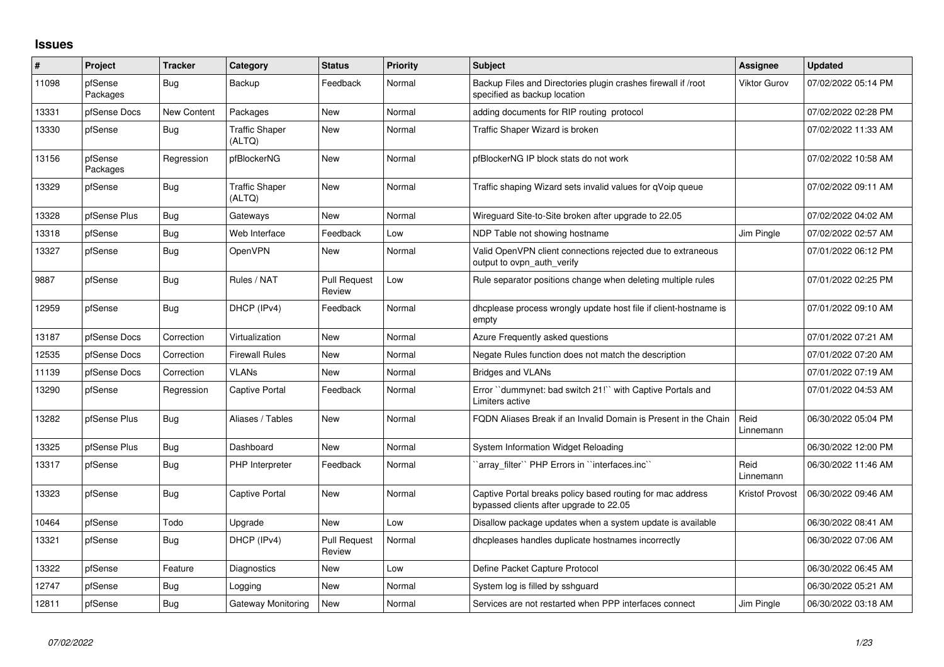## **Issues**

| ∦     | Project             | <b>Tracker</b> | Category                        | <b>Status</b>                 | <b>Priority</b> | <b>Subject</b>                                                                                        | <b>Assignee</b>        | <b>Updated</b>      |
|-------|---------------------|----------------|---------------------------------|-------------------------------|-----------------|-------------------------------------------------------------------------------------------------------|------------------------|---------------------|
| 11098 | pfSense<br>Packages | Bug            | Backup                          | Feedback                      | Normal          | Backup Files and Directories plugin crashes firewall if /root<br>specified as backup location         | <b>Viktor Gurov</b>    | 07/02/2022 05:14 PM |
| 13331 | pfSense Docs        | New Content    | Packages                        | <b>New</b>                    | Normal          | adding documents for RIP routing protocol                                                             |                        | 07/02/2022 02:28 PM |
| 13330 | pfSense             | Bug            | <b>Traffic Shaper</b><br>(ALTQ) | New                           | Normal          | Traffic Shaper Wizard is broken                                                                       |                        | 07/02/2022 11:33 AM |
| 13156 | pfSense<br>Packages | Regression     | pfBlockerNG                     | <b>New</b>                    | Normal          | pfBlockerNG IP block stats do not work                                                                |                        | 07/02/2022 10:58 AM |
| 13329 | pfSense             | <b>Bug</b>     | <b>Traffic Shaper</b><br>(ALTQ) | <b>New</b>                    | Normal          | Traffic shaping Wizard sets invalid values for qVoip queue                                            |                        | 07/02/2022 09:11 AM |
| 13328 | pfSense Plus        | Bug            | Gateways                        | <b>New</b>                    | Normal          | Wireguard Site-to-Site broken after upgrade to 22.05                                                  |                        | 07/02/2022 04:02 AM |
| 13318 | pfSense             | <b>Bug</b>     | Web Interface                   | Feedback                      | Low             | NDP Table not showing hostname                                                                        | Jim Pingle             | 07/02/2022 02:57 AM |
| 13327 | pfSense             | <b>Bug</b>     | <b>OpenVPN</b>                  | <b>New</b>                    | Normal          | Valid OpenVPN client connections rejected due to extraneous<br>output to ovpn auth verify             |                        | 07/01/2022 06:12 PM |
| 9887  | pfSense             | <b>Bug</b>     | Rules / NAT                     | <b>Pull Request</b><br>Review | Low             | Rule separator positions change when deleting multiple rules                                          |                        | 07/01/2022 02:25 PM |
| 12959 | pfSense             | Bug            | DHCP (IPv4)                     | Feedback                      | Normal          | dhoplease process wrongly update host file if client-hostname is<br>empty                             |                        | 07/01/2022 09:10 AM |
| 13187 | pfSense Docs        | Correction     | Virtualization                  | <b>New</b>                    | Normal          | Azure Frequently asked questions                                                                      |                        | 07/01/2022 07:21 AM |
| 12535 | pfSense Docs        | Correction     | <b>Firewall Rules</b>           | New                           | Normal          | Negate Rules function does not match the description                                                  |                        | 07/01/2022 07:20 AM |
| 11139 | pfSense Docs        | Correction     | <b>VLANs</b>                    | <b>New</b>                    | Normal          | <b>Bridges and VLANs</b>                                                                              |                        | 07/01/2022 07:19 AM |
| 13290 | pfSense             | Regression     | <b>Captive Portal</b>           | Feedback                      | Normal          | Error "dummynet: bad switch 21!" with Captive Portals and<br>Limiters active                          |                        | 07/01/2022 04:53 AM |
| 13282 | pfSense Plus        | Bug            | Aliases / Tables                | <b>New</b>                    | Normal          | FQDN Aliases Break if an Invalid Domain is Present in the Chain                                       | Reid<br>Linnemann      | 06/30/2022 05:04 PM |
| 13325 | pfSense Plus        | Bug            | Dashboard                       | <b>New</b>                    | Normal          | System Information Widget Reloading                                                                   |                        | 06/30/2022 12:00 PM |
| 13317 | pfSense             | Bug            | PHP Interpreter                 | Feedback                      | Normal          | 'array_filter'' PHP Errors in "interfaces.inc"                                                        | Reid<br>Linnemann      | 06/30/2022 11:46 AM |
| 13323 | pfSense             | Bug            | <b>Captive Portal</b>           | New                           | Normal          | Captive Portal breaks policy based routing for mac address<br>bypassed clients after upgrade to 22.05 | <b>Kristof Provost</b> | 06/30/2022 09:46 AM |
| 10464 | pfSense             | Todo           | Upgrade                         | <b>New</b>                    | Low             | Disallow package updates when a system update is available                                            |                        | 06/30/2022 08:41 AM |
| 13321 | pfSense             | <b>Bug</b>     | DHCP (IPv4)                     | <b>Pull Request</b><br>Review | Normal          | dhcpleases handles duplicate hostnames incorrectly                                                    |                        | 06/30/2022 07:06 AM |
| 13322 | pfSense             | Feature        | Diagnostics                     | <b>New</b>                    | Low             | Define Packet Capture Protocol                                                                        |                        | 06/30/2022 06:45 AM |
| 12747 | pfSense             | <b>Bug</b>     | Logging                         | <b>New</b>                    | Normal          | System log is filled by sshquard                                                                      |                        | 06/30/2022 05:21 AM |
| 12811 | pfSense             | Bug            | Gateway Monitoring              | <b>New</b>                    | Normal          | Services are not restarted when PPP interfaces connect                                                | Jim Pinale             | 06/30/2022 03:18 AM |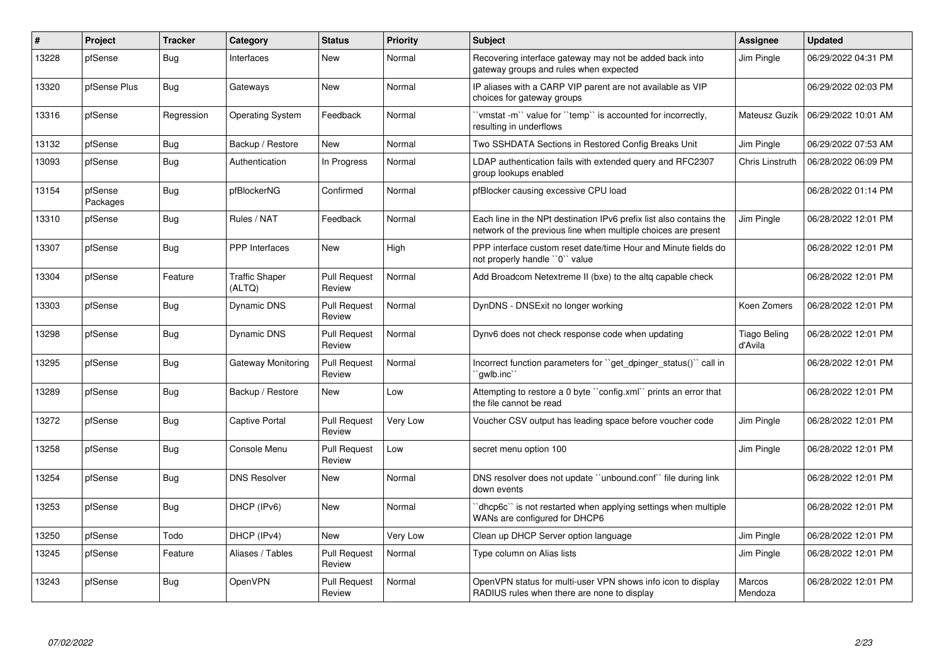| #     | <b>Project</b>      | <b>Tracker</b> | Category                        | <b>Status</b>                 | <b>Priority</b> | Subject                                                                                                                               | <b>Assignee</b>         | <b>Updated</b>      |
|-------|---------------------|----------------|---------------------------------|-------------------------------|-----------------|---------------------------------------------------------------------------------------------------------------------------------------|-------------------------|---------------------|
| 13228 | pfSense             | <b>Bug</b>     | Interfaces                      | New                           | Normal          | Recovering interface gateway may not be added back into<br>gateway groups and rules when expected                                     | Jim Pingle              | 06/29/2022 04:31 PM |
| 13320 | pfSense Plus        | Bug            | Gateways                        | New                           | Normal          | IP aliases with a CARP VIP parent are not available as VIP<br>choices for gateway groups                                              |                         | 06/29/2022 02:03 PM |
| 13316 | pfSense             | Regression     | <b>Operating System</b>         | Feedback                      | Normal          | 'vmstat -m'' value for ''temp'' is accounted for incorrectly,<br>resulting in underflows                                              | Mateusz Guzik           | 06/29/2022 10:01 AM |
| 13132 | pfSense             | <b>Bug</b>     | Backup / Restore                | <b>New</b>                    | Normal          | Two SSHDATA Sections in Restored Config Breaks Unit                                                                                   | Jim Pingle              | 06/29/2022 07:53 AM |
| 13093 | pfSense             | <b>Bug</b>     | Authentication                  | In Progress                   | Normal          | LDAP authentication fails with extended query and RFC2307<br>group lookups enabled                                                    | Chris Linstruth         | 06/28/2022 06:09 PM |
| 13154 | pfSense<br>Packages | <b>Bug</b>     | pfBlockerNG                     | Confirmed                     | Normal          | pfBlocker causing excessive CPU load                                                                                                  |                         | 06/28/2022 01:14 PM |
| 13310 | pfSense             | Bug            | Rules / NAT                     | Feedback                      | Normal          | Each line in the NPt destination IPv6 prefix list also contains the<br>network of the previous line when multiple choices are present | Jim Pingle              | 06/28/2022 12:01 PM |
| 13307 | pfSense             | Bug            | PPP Interfaces                  | New                           | High            | PPP interface custom reset date/time Hour and Minute fields do<br>not properly handle "0" value                                       |                         | 06/28/2022 12:01 PM |
| 13304 | pfSense             | Feature        | <b>Traffic Shaper</b><br>(ALTQ) | <b>Pull Request</b><br>Review | Normal          | Add Broadcom Netextreme II (bxe) to the altq capable check                                                                            |                         | 06/28/2022 12:01 PM |
| 13303 | pfSense             | <b>Bug</b>     | Dynamic DNS                     | <b>Pull Request</b><br>Review | Normal          | DynDNS - DNSExit no longer working                                                                                                    | Koen Zomers             | 06/28/2022 12:01 PM |
| 13298 | pfSense             | <b>Bug</b>     | <b>Dynamic DNS</b>              | <b>Pull Request</b><br>Review | Normal          | Dynv6 does not check response code when updating                                                                                      | Tiago Beling<br>d'Avila | 06/28/2022 12:01 PM |
| 13295 | pfSense             | Bug            | Gateway Monitoring              | <b>Pull Request</b><br>Review | Normal          | Incorrect function parameters for "get dpinger status()" call in<br>`qwlb.inc`                                                        |                         | 06/28/2022 12:01 PM |
| 13289 | pfSense             | Bug            | Backup / Restore                | <b>New</b>                    | Low             | Attempting to restore a 0 byte "config.xml" prints an error that<br>the file cannot be read                                           |                         | 06/28/2022 12:01 PM |
| 13272 | pfSense             | <b>Bug</b>     | <b>Captive Portal</b>           | <b>Pull Request</b><br>Review | Very Low        | Voucher CSV output has leading space before voucher code                                                                              | Jim Pingle              | 06/28/2022 12:01 PM |
| 13258 | pfSense             | <b>Bug</b>     | Console Menu                    | <b>Pull Request</b><br>Review | Low             | secret menu option 100                                                                                                                | Jim Pingle              | 06/28/2022 12:01 PM |
| 13254 | pfSense             | Bug            | <b>DNS Resolver</b>             | <b>New</b>                    | Normal          | DNS resolver does not update "unbound.conf" file during link<br>down events                                                           |                         | 06/28/2022 12:01 PM |
| 13253 | pfSense             | Bug            | DHCP (IPv6)                     | <b>New</b>                    | Normal          | dhcp6c" is not restarted when applying settings when multiple<br>WANs are configured for DHCP6                                        |                         | 06/28/2022 12:01 PM |
| 13250 | pfSense             | Todo           | DHCP (IPv4)                     | <b>New</b>                    | Very Low        | Clean up DHCP Server option language                                                                                                  | Jim Pingle              | 06/28/2022 12:01 PM |
| 13245 | pfSense             | Feature        | Aliases / Tables                | <b>Pull Request</b><br>Review | Normal          | Type column on Alias lists                                                                                                            | Jim Pingle              | 06/28/2022 12:01 PM |
| 13243 | pfSense             | Bug            | OpenVPN                         | <b>Pull Request</b><br>Review | Normal          | OpenVPN status for multi-user VPN shows info icon to display<br>RADIUS rules when there are none to display                           | Marcos<br>Mendoza       | 06/28/2022 12:01 PM |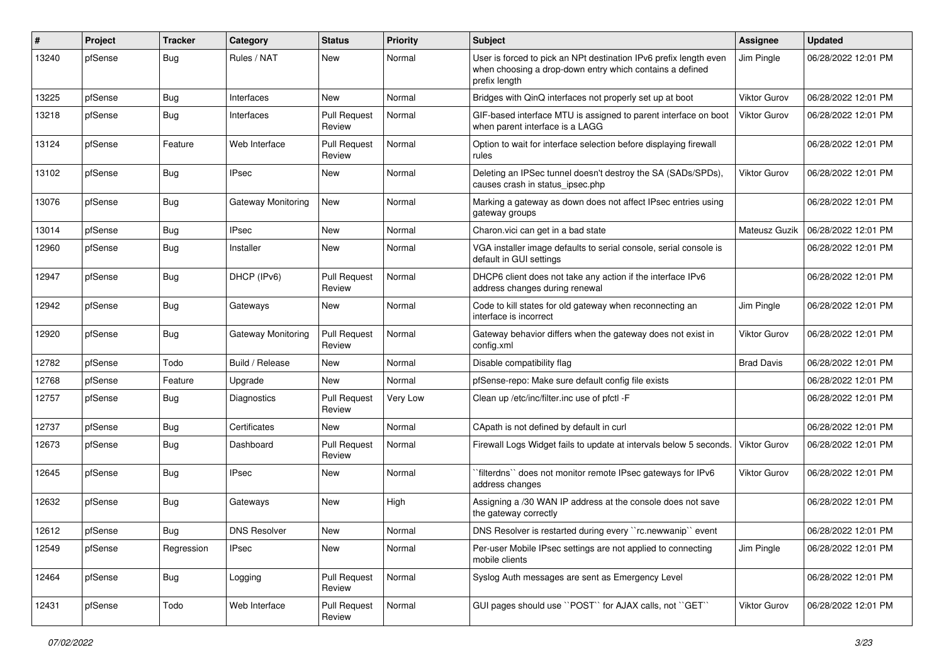| #     | Project | <b>Tracker</b> | Category            | <b>Status</b>                 | <b>Priority</b> | Subject                                                                                                                                        | Assignee            | <b>Updated</b>      |
|-------|---------|----------------|---------------------|-------------------------------|-----------------|------------------------------------------------------------------------------------------------------------------------------------------------|---------------------|---------------------|
| 13240 | pfSense | <b>Bug</b>     | Rules / NAT         | New                           | Normal          | User is forced to pick an NPt destination IPv6 prefix length even<br>when choosing a drop-down entry which contains a defined<br>prefix length | Jim Pingle          | 06/28/2022 12:01 PM |
| 13225 | pfSense | Bug            | Interfaces          | <b>New</b>                    | Normal          | Bridges with QinQ interfaces not properly set up at boot                                                                                       | <b>Viktor Gurov</b> | 06/28/2022 12:01 PM |
| 13218 | pfSense | Bug            | Interfaces          | <b>Pull Request</b><br>Review | Normal          | GIF-based interface MTU is assigned to parent interface on boot<br>when parent interface is a LAGG                                             | Viktor Gurov        | 06/28/2022 12:01 PM |
| 13124 | pfSense | Feature        | Web Interface       | <b>Pull Request</b><br>Review | Normal          | Option to wait for interface selection before displaying firewall<br>rules                                                                     |                     | 06/28/2022 12:01 PM |
| 13102 | pfSense | <b>Bug</b>     | <b>IPsec</b>        | <b>New</b>                    | Normal          | Deleting an IPSec tunnel doesn't destroy the SA (SADs/SPDs),<br>causes crash in status_ipsec.php                                               | Viktor Gurov        | 06/28/2022 12:01 PM |
| 13076 | pfSense | Bug            | Gateway Monitoring  | <b>New</b>                    | Normal          | Marking a gateway as down does not affect IPsec entries using<br>gateway groups                                                                |                     | 06/28/2022 12:01 PM |
| 13014 | pfSense | Bug            | <b>IPsec</b>        | <b>New</b>                    | Normal          | Charon.vici can get in a bad state                                                                                                             | Mateusz Guzik       | 06/28/2022 12:01 PM |
| 12960 | pfSense | <b>Bug</b>     | Installer           | New                           | Normal          | VGA installer image defaults to serial console, serial console is<br>default in GUI settings                                                   |                     | 06/28/2022 12:01 PM |
| 12947 | pfSense | Bug            | DHCP (IPv6)         | <b>Pull Request</b><br>Review | Normal          | DHCP6 client does not take any action if the interface IPv6<br>address changes during renewal                                                  |                     | 06/28/2022 12:01 PM |
| 12942 | pfSense | Bug            | Gateways            | New                           | Normal          | Code to kill states for old gateway when reconnecting an<br>interface is incorrect                                                             | Jim Pingle          | 06/28/2022 12:01 PM |
| 12920 | pfSense | Bug            | Gateway Monitoring  | <b>Pull Request</b><br>Review | Normal          | Gateway behavior differs when the gateway does not exist in<br>config.xml                                                                      | <b>Viktor Gurov</b> | 06/28/2022 12:01 PM |
| 12782 | pfSense | Todo           | Build / Release     | <b>New</b>                    | Normal          | Disable compatibility flag                                                                                                                     | <b>Brad Davis</b>   | 06/28/2022 12:01 PM |
| 12768 | pfSense | Feature        | Upgrade             | New                           | Normal          | pfSense-repo: Make sure default config file exists                                                                                             |                     | 06/28/2022 12:01 PM |
| 12757 | pfSense | Bug            | <b>Diagnostics</b>  | <b>Pull Request</b><br>Review | Very Low        | Clean up /etc/inc/filter.inc use of pfctl -F                                                                                                   |                     | 06/28/2022 12:01 PM |
| 12737 | pfSense | Bug            | Certificates        | <b>New</b>                    | Normal          | CApath is not defined by default in curl                                                                                                       |                     | 06/28/2022 12:01 PM |
| 12673 | pfSense | <b>Bug</b>     | Dashboard           | <b>Pull Request</b><br>Review | Normal          | Firewall Logs Widget fails to update at intervals below 5 seconds.                                                                             | Viktor Gurov        | 06/28/2022 12:01 PM |
| 12645 | pfSense | Bug            | <b>IPsec</b>        | New                           | Normal          | `filterdns`` does not monitor remote IPsec gateways for IPv6<br>address changes                                                                | Viktor Gurov        | 06/28/2022 12:01 PM |
| 12632 | pfSense | Bug            | Gateways            | New                           | High            | Assigning a /30 WAN IP address at the console does not save<br>the gateway correctly                                                           |                     | 06/28/2022 12:01 PM |
| 12612 | pfSense | Bug            | <b>DNS Resolver</b> | New                           | Normal          | DNS Resolver is restarted during every "rc.newwanip" event                                                                                     |                     | 06/28/2022 12:01 PM |
| 12549 | pfSense | Regression     | IPsec               | New                           | Normal          | Per-user Mobile IPsec settings are not applied to connecting<br>mobile clients                                                                 | Jim Pingle          | 06/28/2022 12:01 PM |
| 12464 | pfSense | <b>Bug</b>     | Logging             | <b>Pull Request</b><br>Review | Normal          | Syslog Auth messages are sent as Emergency Level                                                                                               |                     | 06/28/2022 12:01 PM |
| 12431 | pfSense | Todo           | Web Interface       | <b>Pull Request</b><br>Review | Normal          | GUI pages should use "POST" for AJAX calls, not "GET"                                                                                          | Viktor Gurov        | 06/28/2022 12:01 PM |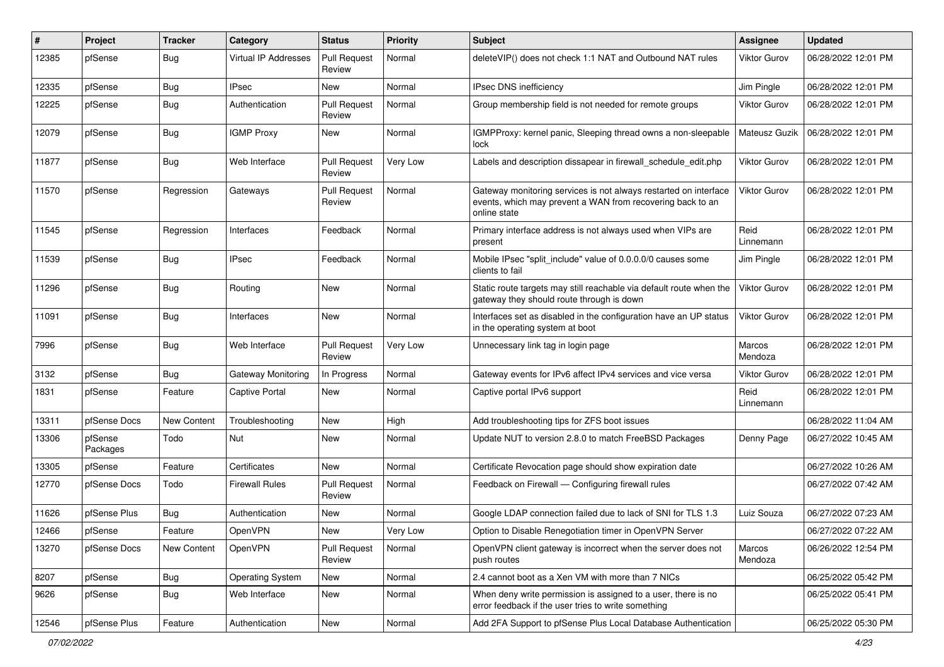| #     | Project             | <b>Tracker</b> | Category                | <b>Status</b>                 | <b>Priority</b> | Subject                                                                                                                                        | <b>Assignee</b>     | <b>Updated</b>      |
|-------|---------------------|----------------|-------------------------|-------------------------------|-----------------|------------------------------------------------------------------------------------------------------------------------------------------------|---------------------|---------------------|
| 12385 | pfSense             | Bug            | Virtual IP Addresses    | <b>Pull Request</b><br>Review | Normal          | deleteVIP() does not check 1:1 NAT and Outbound NAT rules                                                                                      | Viktor Gurov        | 06/28/2022 12:01 PM |
| 12335 | pfSense             | <b>Bug</b>     | <b>IPsec</b>            | New                           | Normal          | <b>IPsec DNS inefficiency</b>                                                                                                                  | Jim Pingle          | 06/28/2022 12:01 PM |
| 12225 | pfSense             | Bug            | Authentication          | <b>Pull Request</b><br>Review | Normal          | Group membership field is not needed for remote groups                                                                                         | <b>Viktor Gurov</b> | 06/28/2022 12:01 PM |
| 12079 | pfSense             | Bug            | <b>IGMP Proxy</b>       | New                           | Normal          | IGMPProxy: kernel panic, Sleeping thread owns a non-sleepable<br>lock                                                                          | Mateusz Guzik       | 06/28/2022 12:01 PM |
| 11877 | pfSense             | Bug            | Web Interface           | <b>Pull Request</b><br>Review | Very Low        | Labels and description dissapear in firewall schedule edit.php                                                                                 | <b>Viktor Gurov</b> | 06/28/2022 12:01 PM |
| 11570 | pfSense             | Regression     | Gateways                | <b>Pull Request</b><br>Review | Normal          | Gateway monitoring services is not always restarted on interface<br>events, which may prevent a WAN from recovering back to an<br>online state | <b>Viktor Gurov</b> | 06/28/2022 12:01 PM |
| 11545 | pfSense             | Regression     | Interfaces              | Feedback                      | Normal          | Primary interface address is not always used when VIPs are<br>present                                                                          | Reid<br>Linnemann   | 06/28/2022 12:01 PM |
| 11539 | pfSense             | <b>Bug</b>     | IPsec                   | Feedback                      | Normal          | Mobile IPsec "split include" value of 0.0.0.0/0 causes some<br>clients to fail                                                                 | Jim Pingle          | 06/28/2022 12:01 PM |
| 11296 | pfSense             | Bug            | Routing                 | New                           | Normal          | Static route targets may still reachable via default route when the<br>gateway they should route through is down                               | <b>Viktor Gurov</b> | 06/28/2022 12:01 PM |
| 11091 | pfSense             | Bug            | Interfaces              | <b>New</b>                    | Normal          | Interfaces set as disabled in the configuration have an UP status<br>in the operating system at boot                                           | <b>Viktor Gurov</b> | 06/28/2022 12:01 PM |
| 7996  | pfSense             | Bug            | Web Interface           | <b>Pull Request</b><br>Review | Very Low        | Unnecessary link tag in login page                                                                                                             | Marcos<br>Mendoza   | 06/28/2022 12:01 PM |
| 3132  | pfSense             | Bug            | Gateway Monitoring      | In Progress                   | Normal          | Gateway events for IPv6 affect IPv4 services and vice versa                                                                                    | Viktor Gurov        | 06/28/2022 12:01 PM |
| 1831  | pfSense             | Feature        | Captive Portal          | New                           | Normal          | Captive portal IPv6 support                                                                                                                    | Reid<br>Linnemann   | 06/28/2022 12:01 PM |
| 13311 | pfSense Docs        | New Content    | Troubleshooting         | <b>New</b>                    | High            | Add troubleshooting tips for ZFS boot issues                                                                                                   |                     | 06/28/2022 11:04 AM |
| 13306 | pfSense<br>Packages | Todo           | Nut                     | New                           | Normal          | Update NUT to version 2.8.0 to match FreeBSD Packages                                                                                          | Denny Page          | 06/27/2022 10:45 AM |
| 13305 | pfSense             | Feature        | Certificates            | New                           | Normal          | Certificate Revocation page should show expiration date                                                                                        |                     | 06/27/2022 10:26 AM |
| 12770 | pfSense Docs        | Todo           | <b>Firewall Rules</b>   | <b>Pull Request</b><br>Review | Normal          | Feedback on Firewall - Configuring firewall rules                                                                                              |                     | 06/27/2022 07:42 AM |
| 11626 | pfSense Plus        | Bug            | Authentication          | <b>New</b>                    | Normal          | Google LDAP connection failed due to lack of SNI for TLS 1.3                                                                                   | Luiz Souza          | 06/27/2022 07:23 AM |
| 12466 | pfSense             | Feature        | OpenVPN                 | New                           | Very Low        | Option to Disable Renegotiation timer in OpenVPN Server                                                                                        |                     | 06/27/2022 07:22 AM |
| 13270 | pfSense Docs        | New Content    | OpenVPN                 | <b>Pull Request</b><br>Review | Normal          | OpenVPN client gateway is incorrect when the server does not<br>push routes                                                                    | Marcos<br>Mendoza   | 06/26/2022 12:54 PM |
| 8207  | pfSense             | Bug            | <b>Operating System</b> | New                           | Normal          | 2.4 cannot boot as a Xen VM with more than 7 NICs                                                                                              |                     | 06/25/2022 05:42 PM |
| 9626  | pfSense             | Bug            | Web Interface           | New                           | Normal          | When deny write permission is assigned to a user, there is no<br>error feedback if the user tries to write something                           |                     | 06/25/2022 05:41 PM |
| 12546 | pfSense Plus        | Feature        | Authentication          | New                           | Normal          | Add 2FA Support to pfSense Plus Local Database Authentication                                                                                  |                     | 06/25/2022 05:30 PM |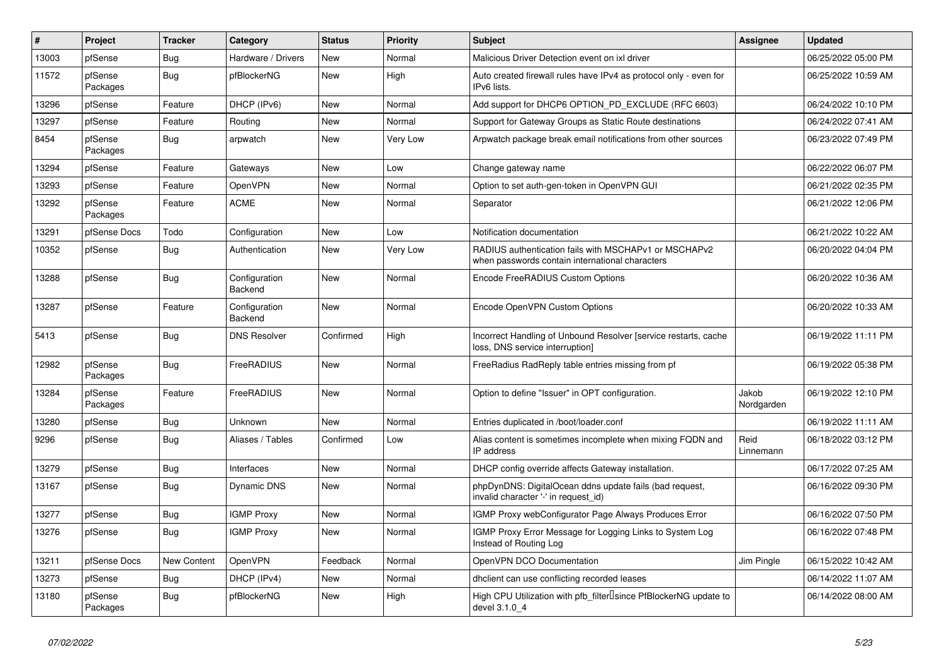| $\vert$ # | Project             | <b>Tracker</b> | Category                 | <b>Status</b> | <b>Priority</b> | <b>Subject</b>                                                                                           | Assignee            | <b>Updated</b>      |
|-----------|---------------------|----------------|--------------------------|---------------|-----------------|----------------------------------------------------------------------------------------------------------|---------------------|---------------------|
| 13003     | pfSense             | Bug            | Hardware / Drivers       | <b>New</b>    | Normal          | Malicious Driver Detection event on ixl driver                                                           |                     | 06/25/2022 05:00 PM |
| 11572     | pfSense<br>Packages | Bug            | pfBlockerNG              | <b>New</b>    | High            | Auto created firewall rules have IPv4 as protocol only - even for<br>IPv6 lists.                         |                     | 06/25/2022 10:59 AM |
| 13296     | pfSense             | Feature        | DHCP (IPv6)              | New           | Normal          | Add support for DHCP6 OPTION PD EXCLUDE (RFC 6603)                                                       |                     | 06/24/2022 10:10 PM |
| 13297     | pfSense             | Feature        | Routing                  | <b>New</b>    | Normal          | Support for Gateway Groups as Static Route destinations                                                  |                     | 06/24/2022 07:41 AM |
| 8454      | pfSense<br>Packages | Bug            | arpwatch                 | New           | Very Low        | Arpwatch package break email notifications from other sources                                            |                     | 06/23/2022 07:49 PM |
| 13294     | pfSense             | Feature        | Gateways                 | <b>New</b>    | Low             | Change gateway name                                                                                      |                     | 06/22/2022 06:07 PM |
| 13293     | pfSense             | Feature        | <b>OpenVPN</b>           | <b>New</b>    | Normal          | Option to set auth-gen-token in OpenVPN GUI                                                              |                     | 06/21/2022 02:35 PM |
| 13292     | pfSense<br>Packages | Feature        | <b>ACME</b>              | <b>New</b>    | Normal          | Separator                                                                                                |                     | 06/21/2022 12:06 PM |
| 13291     | pfSense Docs        | Todo           | Configuration            | <b>New</b>    | Low             | Notification documentation                                                                               |                     | 06/21/2022 10:22 AM |
| 10352     | pfSense             | Bug            | Authentication           | <b>New</b>    | Very Low        | RADIUS authentication fails with MSCHAPv1 or MSCHAPv2<br>when passwords contain international characters |                     | 06/20/2022 04:04 PM |
| 13288     | pfSense             | Bug            | Configuration<br>Backend | <b>New</b>    | Normal          | Encode FreeRADIUS Custom Options                                                                         |                     | 06/20/2022 10:36 AM |
| 13287     | pfSense             | Feature        | Configuration<br>Backend | New           | Normal          | Encode OpenVPN Custom Options                                                                            |                     | 06/20/2022 10:33 AM |
| 5413      | pfSense             | <b>Bug</b>     | <b>DNS Resolver</b>      | Confirmed     | High            | Incorrect Handling of Unbound Resolver [service restarts, cache<br>loss, DNS service interruption]       |                     | 06/19/2022 11:11 PM |
| 12982     | pfSense<br>Packages | <b>Bug</b>     | FreeRADIUS               | <b>New</b>    | Normal          | FreeRadius RadReply table entries missing from pf                                                        |                     | 06/19/2022 05:38 PM |
| 13284     | pfSense<br>Packages | Feature        | FreeRADIUS               | New           | Normal          | Option to define "Issuer" in OPT configuration.                                                          | Jakob<br>Nordgarden | 06/19/2022 12:10 PM |
| 13280     | pfSense             | <b>Bug</b>     | Unknown                  | New           | Normal          | Entries duplicated in /boot/loader.conf                                                                  |                     | 06/19/2022 11:11 AM |
| 9296      | pfSense             | Bug            | Aliases / Tables         | Confirmed     | Low             | Alias content is sometimes incomplete when mixing FQDN and<br>IP address                                 | Reid<br>Linnemann   | 06/18/2022 03:12 PM |
| 13279     | pfSense             | <b>Bug</b>     | Interfaces               | <b>New</b>    | Normal          | DHCP config override affects Gateway installation.                                                       |                     | 06/17/2022 07:25 AM |
| 13167     | pfSense             | <b>Bug</b>     | Dynamic DNS              | <b>New</b>    | Normal          | phpDynDNS: DigitalOcean ddns update fails (bad request,<br>invalid character '-' in request_id)          |                     | 06/16/2022 09:30 PM |
| 13277     | pfSense             | Bug            | <b>IGMP Proxy</b>        | <b>New</b>    | Normal          | IGMP Proxy webConfigurator Page Always Produces Error                                                    |                     | 06/16/2022 07:50 PM |
| 13276     | pfSense             | Bug            | <b>IGMP Proxy</b>        | <b>New</b>    | Normal          | IGMP Proxy Error Message for Logging Links to System Log<br>Instead of Routing Log                       |                     | 06/16/2022 07:48 PM |
| 13211     | pfSense Docs        | New Content    | <b>OpenVPN</b>           | Feedback      | Normal          | OpenVPN DCO Documentation                                                                                | Jim Pingle          | 06/15/2022 10:42 AM |
| 13273     | pfSense             | Bug            | DHCP (IPv4)              | New           | Normal          | dhclient can use conflicting recorded leases                                                             |                     | 06/14/2022 11:07 AM |
| 13180     | pfSense<br>Packages | Bug            | pfBlockerNG              | <b>New</b>    | High            | High CPU Utilization with pfb_filter <sup>[]</sup> since PfBlockerNG update to<br>devel 3.1.0 4          |                     | 06/14/2022 08:00 AM |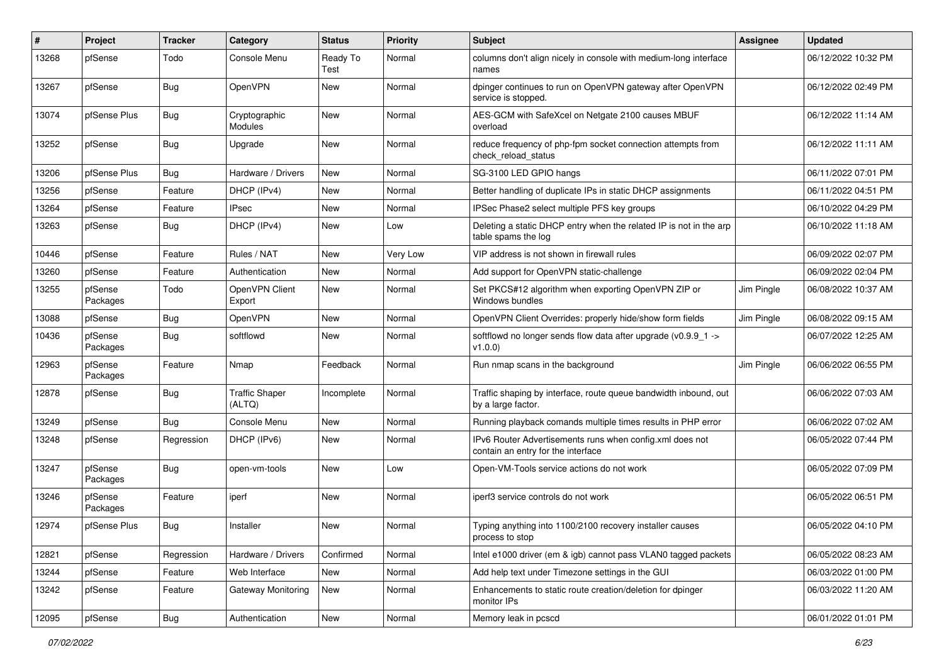| #     | Project             | <b>Tracker</b> | Category                        | <b>Status</b>    | <b>Priority</b> | Subject                                                                                        | <b>Assignee</b> | <b>Updated</b>      |
|-------|---------------------|----------------|---------------------------------|------------------|-----------------|------------------------------------------------------------------------------------------------|-----------------|---------------------|
| 13268 | pfSense             | Todo           | Console Menu                    | Ready To<br>Test | Normal          | columns don't align nicely in console with medium-long interface<br>names                      |                 | 06/12/2022 10:32 PM |
| 13267 | pfSense             | Bug            | OpenVPN                         | New              | Normal          | dpinger continues to run on OpenVPN gateway after OpenVPN<br>service is stopped.               |                 | 06/12/2022 02:49 PM |
| 13074 | pfSense Plus        | <b>Bug</b>     | Cryptographic<br>Modules        | New              | Normal          | AES-GCM with SafeXcel on Netgate 2100 causes MBUF<br>overload                                  |                 | 06/12/2022 11:14 AM |
| 13252 | pfSense             | Bug            | Upgrade                         | New              | Normal          | reduce frequency of php-fpm socket connection attempts from<br>check reload status             |                 | 06/12/2022 11:11 AM |
| 13206 | pfSense Plus        | Bug            | Hardware / Drivers              | <b>New</b>       | Normal          | SG-3100 LED GPIO hangs                                                                         |                 | 06/11/2022 07:01 PM |
| 13256 | pfSense             | Feature        | DHCP (IPv4)                     | New              | Normal          | Better handling of duplicate IPs in static DHCP assignments                                    |                 | 06/11/2022 04:51 PM |
| 13264 | pfSense             | Feature        | <b>IPsec</b>                    | New              | Normal          | IPSec Phase2 select multiple PFS key groups                                                    |                 | 06/10/2022 04:29 PM |
| 13263 | pfSense             | Bug            | DHCP (IPv4)                     | New              | Low             | Deleting a static DHCP entry when the related IP is not in the arp<br>table spams the log      |                 | 06/10/2022 11:18 AM |
| 10446 | pfSense             | Feature        | Rules / NAT                     | New              | Very Low        | VIP address is not shown in firewall rules                                                     |                 | 06/09/2022 02:07 PM |
| 13260 | pfSense             | Feature        | Authentication                  | New              | Normal          | Add support for OpenVPN static-challenge                                                       |                 | 06/09/2022 02:04 PM |
| 13255 | pfSense<br>Packages | Todo           | OpenVPN Client<br>Export        | <b>New</b>       | Normal          | Set PKCS#12 algorithm when exporting OpenVPN ZIP or<br>Windows bundles                         | Jim Pingle      | 06/08/2022 10:37 AM |
| 13088 | pfSense             | <b>Bug</b>     | <b>OpenVPN</b>                  | <b>New</b>       | Normal          | OpenVPN Client Overrides: properly hide/show form fields                                       | Jim Pingle      | 06/08/2022 09:15 AM |
| 10436 | pfSense<br>Packages | <b>Bug</b>     | softflowd                       | New              | Normal          | softflowd no longer sends flow data after upgrade (v0.9.9 1 -><br>v1.0.0)                      |                 | 06/07/2022 12:25 AM |
| 12963 | pfSense<br>Packages | Feature        | Nmap                            | Feedback         | Normal          | Run nmap scans in the background                                                               | Jim Pingle      | 06/06/2022 06:55 PM |
| 12878 | pfSense             | Bug            | <b>Traffic Shaper</b><br>(ALTQ) | Incomplete       | Normal          | Traffic shaping by interface, route queue bandwidth inbound, out<br>by a large factor.         |                 | 06/06/2022 07:03 AM |
| 13249 | pfSense             | Bug            | Console Menu                    | New              | Normal          | Running playback comands multiple times results in PHP error                                   |                 | 06/06/2022 07:02 AM |
| 13248 | pfSense             | Regression     | DHCP (IPv6)                     | New              | Normal          | IPv6 Router Advertisements runs when config.xml does not<br>contain an entry for the interface |                 | 06/05/2022 07:44 PM |
| 13247 | pfSense<br>Packages | Bug            | open-vm-tools                   | <b>New</b>       | Low             | Open-VM-Tools service actions do not work                                                      |                 | 06/05/2022 07:09 PM |
| 13246 | pfSense<br>Packages | Feature        | iperf                           | <b>New</b>       | Normal          | iperf3 service controls do not work                                                            |                 | 06/05/2022 06:51 PM |
| 12974 | pfSense Plus        | Bug            | Installer                       | New              | Normal          | Typing anything into 1100/2100 recovery installer causes<br>process to stop                    |                 | 06/05/2022 04:10 PM |
| 12821 | pfSense             | Regression     | Hardware / Drivers              | Confirmed        | Normal          | Intel e1000 driver (em & igb) cannot pass VLAN0 tagged packets                                 |                 | 06/05/2022 08:23 AM |
| 13244 | pfSense             | Feature        | Web Interface                   | New              | Normal          | Add help text under Timezone settings in the GUI                                               |                 | 06/03/2022 01:00 PM |
| 13242 | pfSense             | Feature        | Gateway Monitoring              | New              | Normal          | Enhancements to static route creation/deletion for dpinger<br>monitor IPs                      |                 | 06/03/2022 11:20 AM |
| 12095 | pfSense             | <b>Bug</b>     | Authentication                  | New              | Normal          | Memory leak in pcscd                                                                           |                 | 06/01/2022 01:01 PM |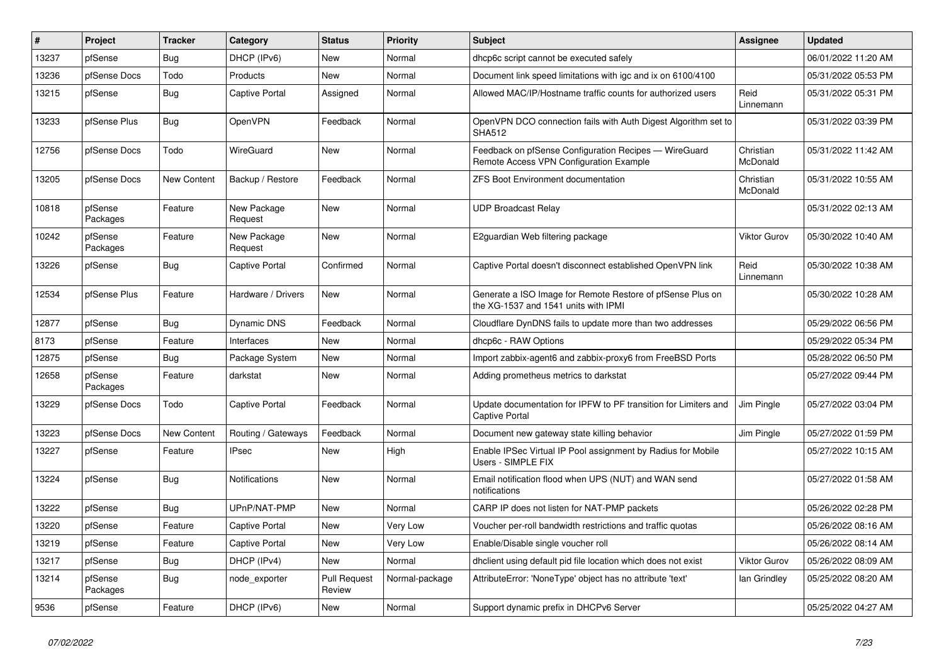| $\vert$ # | Project             | <b>Tracker</b> | Category               | <b>Status</b>                 | <b>Priority</b> | <b>Subject</b>                                                                                     | Assignee              | <b>Updated</b>      |
|-----------|---------------------|----------------|------------------------|-------------------------------|-----------------|----------------------------------------------------------------------------------------------------|-----------------------|---------------------|
| 13237     | pfSense             | <b>Bug</b>     | DHCP (IPv6)            | <b>New</b>                    | Normal          | dhcp6c script cannot be executed safely                                                            |                       | 06/01/2022 11:20 AM |
| 13236     | pfSense Docs        | Todo           | Products               | <b>New</b>                    | Normal          | Document link speed limitations with igc and ix on 6100/4100                                       |                       | 05/31/2022 05:53 PM |
| 13215     | pfSense             | Bug            | Captive Portal         | Assigned                      | Normal          | Allowed MAC/IP/Hostname traffic counts for authorized users                                        | Reid<br>Linnemann     | 05/31/2022 05:31 PM |
| 13233     | pfSense Plus        | Bug            | OpenVPN                | Feedback                      | Normal          | OpenVPN DCO connection fails with Auth Digest Algorithm set to<br><b>SHA512</b>                    |                       | 05/31/2022 03:39 PM |
| 12756     | pfSense Docs        | Todo           | WireGuard              | <b>New</b>                    | Normal          | Feedback on pfSense Configuration Recipes - WireGuard<br>Remote Access VPN Configuration Example   | Christian<br>McDonald | 05/31/2022 11:42 AM |
| 13205     | pfSense Docs        | New Content    | Backup / Restore       | Feedback                      | Normal          | <b>ZFS Boot Environment documentation</b>                                                          | Christian<br>McDonald | 05/31/2022 10:55 AM |
| 10818     | pfSense<br>Packages | Feature        | New Package<br>Request | New                           | Normal          | <b>UDP Broadcast Relay</b>                                                                         |                       | 05/31/2022 02:13 AM |
| 10242     | pfSense<br>Packages | Feature        | New Package<br>Request | <b>New</b>                    | Normal          | E2guardian Web filtering package                                                                   | <b>Viktor Gurov</b>   | 05/30/2022 10:40 AM |
| 13226     | pfSense             | <b>Bug</b>     | Captive Portal         | Confirmed                     | Normal          | Captive Portal doesn't disconnect established OpenVPN link                                         | Reid<br>Linnemann     | 05/30/2022 10:38 AM |
| 12534     | pfSense Plus        | Feature        | Hardware / Drivers     | <b>New</b>                    | Normal          | Generate a ISO Image for Remote Restore of pfSense Plus on<br>the XG-1537 and 1541 units with IPMI |                       | 05/30/2022 10:28 AM |
| 12877     | pfSense             | Bug            | <b>Dynamic DNS</b>     | Feedback                      | Normal          | Cloudflare DynDNS fails to update more than two addresses                                          |                       | 05/29/2022 06:56 PM |
| 8173      | pfSense             | Feature        | Interfaces             | <b>New</b>                    | Normal          | dhcp6c - RAW Options                                                                               |                       | 05/29/2022 05:34 PM |
| 12875     | pfSense             | Bug            | Package System         | <b>New</b>                    | Normal          | Import zabbix-agent6 and zabbix-proxy6 from FreeBSD Ports                                          |                       | 05/28/2022 06:50 PM |
| 12658     | pfSense<br>Packages | Feature        | darkstat               | New                           | Normal          | Adding prometheus metrics to darkstat                                                              |                       | 05/27/2022 09:44 PM |
| 13229     | pfSense Docs        | Todo           | Captive Portal         | Feedback                      | Normal          | Update documentation for IPFW to PF transition for Limiters and<br><b>Captive Portal</b>           | Jim Pingle            | 05/27/2022 03:04 PM |
| 13223     | pfSense Docs        | New Content    | Routing / Gateways     | Feedback                      | Normal          | Document new gateway state killing behavior                                                        | Jim Pingle            | 05/27/2022 01:59 PM |
| 13227     | pfSense             | Feature        | <b>IPsec</b>           | New                           | High            | Enable IPSec Virtual IP Pool assignment by Radius for Mobile<br>Users - SIMPLE FIX                 |                       | 05/27/2022 10:15 AM |
| 13224     | pfSense             | Bug            | <b>Notifications</b>   | New                           | Normal          | Email notification flood when UPS (NUT) and WAN send<br>notifications                              |                       | 05/27/2022 01:58 AM |
| 13222     | pfSense             | <b>Bug</b>     | UPnP/NAT-PMP           | <b>New</b>                    | Normal          | CARP IP does not listen for NAT-PMP packets                                                        |                       | 05/26/2022 02:28 PM |
| 13220     | pfSense             | Feature        | Captive Portal         | <b>New</b>                    | Very Low        | Voucher per-roll bandwidth restrictions and traffic quotas                                         |                       | 05/26/2022 08:16 AM |
| 13219     | pfSense             | Feature        | Captive Portal         | <b>New</b>                    | Very Low        | Enable/Disable single voucher roll                                                                 |                       | 05/26/2022 08:14 AM |
| 13217     | pfSense             | Bug            | DHCP (IPv4)            | <b>New</b>                    | Normal          | dhclient using default pid file location which does not exist                                      | <b>Viktor Gurov</b>   | 05/26/2022 08:09 AM |
| 13214     | pfSense<br>Packages | Bug            | node_exporter          | <b>Pull Request</b><br>Review | Normal-package  | AttributeError: 'NoneType' object has no attribute 'text'                                          | lan Grindley          | 05/25/2022 08:20 AM |
| 9536      | pfSense             | Feature        | DHCP (IPv6)            | New                           | Normal          | Support dynamic prefix in DHCPv6 Server                                                            |                       | 05/25/2022 04:27 AM |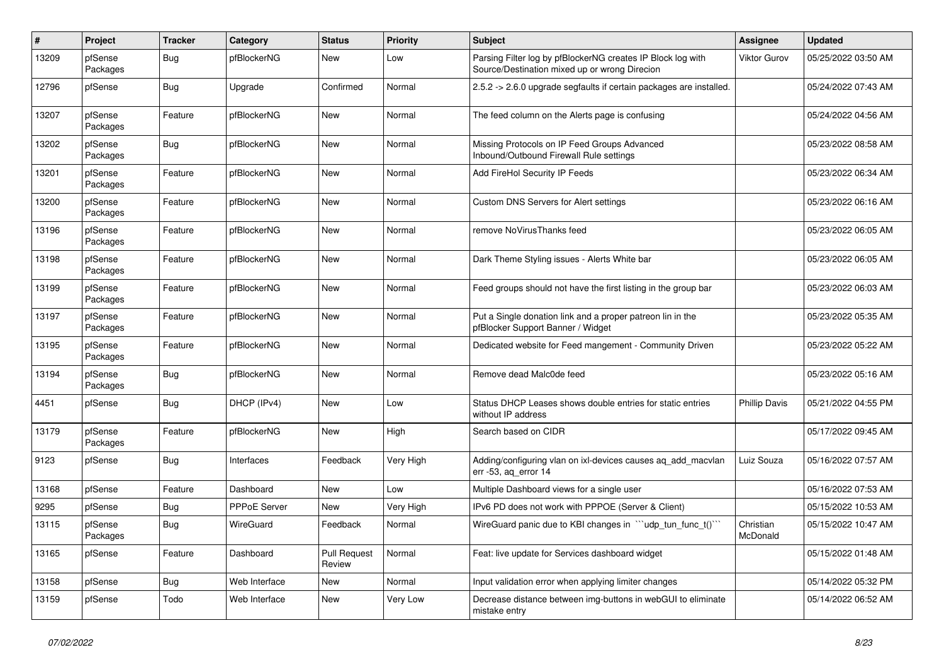| $\pmb{\#}$ | Project             | <b>Tracker</b> | Category      | <b>Status</b>                 | <b>Priority</b> | <b>Subject</b>                                                                                               | <b>Assignee</b>       | <b>Updated</b>      |
|------------|---------------------|----------------|---------------|-------------------------------|-----------------|--------------------------------------------------------------------------------------------------------------|-----------------------|---------------------|
| 13209      | pfSense<br>Packages | Bug            | pfBlockerNG   | New                           | Low             | Parsing Filter log by pfBlockerNG creates IP Block log with<br>Source/Destination mixed up or wrong Direcion | <b>Viktor Gurov</b>   | 05/25/2022 03:50 AM |
| 12796      | pfSense             | Bug            | Upgrade       | Confirmed                     | Normal          | 2.5.2 -> 2.6.0 upgrade segfaults if certain packages are installed.                                          |                       | 05/24/2022 07:43 AM |
| 13207      | pfSense<br>Packages | Feature        | pfBlockerNG   | <b>New</b>                    | Normal          | The feed column on the Alerts page is confusing                                                              |                       | 05/24/2022 04:56 AM |
| 13202      | pfSense<br>Packages | Bug            | pfBlockerNG   | <b>New</b>                    | Normal          | Missing Protocols on IP Feed Groups Advanced<br>Inbound/Outbound Firewall Rule settings                      |                       | 05/23/2022 08:58 AM |
| 13201      | pfSense<br>Packages | Feature        | pfBlockerNG   | <b>New</b>                    | Normal          | Add FireHol Security IP Feeds                                                                                |                       | 05/23/2022 06:34 AM |
| 13200      | pfSense<br>Packages | Feature        | pfBlockerNG   | <b>New</b>                    | Normal          | Custom DNS Servers for Alert settings                                                                        |                       | 05/23/2022 06:16 AM |
| 13196      | pfSense<br>Packages | Feature        | pfBlockerNG   | <b>New</b>                    | Normal          | remove NoVirusThanks feed                                                                                    |                       | 05/23/2022 06:05 AM |
| 13198      | pfSense<br>Packages | Feature        | pfBlockerNG   | <b>New</b>                    | Normal          | Dark Theme Styling issues - Alerts White bar                                                                 |                       | 05/23/2022 06:05 AM |
| 13199      | pfSense<br>Packages | Feature        | pfBlockerNG   | <b>New</b>                    | Normal          | Feed groups should not have the first listing in the group bar                                               |                       | 05/23/2022 06:03 AM |
| 13197      | pfSense<br>Packages | Feature        | pfBlockerNG   | <b>New</b>                    | Normal          | Put a Single donation link and a proper patreon lin in the<br>pfBlocker Support Banner / Widget              |                       | 05/23/2022 05:35 AM |
| 13195      | pfSense<br>Packages | Feature        | pfBlockerNG   | <b>New</b>                    | Normal          | Dedicated website for Feed mangement - Community Driven                                                      |                       | 05/23/2022 05:22 AM |
| 13194      | pfSense<br>Packages | Bug            | pfBlockerNG   | <b>New</b>                    | Normal          | Remove dead Malc0de feed                                                                                     |                       | 05/23/2022 05:16 AM |
| 4451       | pfSense             | <b>Bug</b>     | DHCP (IPv4)   | <b>New</b>                    | Low             | Status DHCP Leases shows double entries for static entries<br>without IP address                             | <b>Phillip Davis</b>  | 05/21/2022 04:55 PM |
| 13179      | pfSense<br>Packages | Feature        | pfBlockerNG   | <b>New</b>                    | High            | Search based on CIDR                                                                                         |                       | 05/17/2022 09:45 AM |
| 9123       | pfSense             | Bug            | Interfaces    | Feedback                      | Very High       | Adding/configuring vlan on ixl-devices causes aq_add_macvlan<br>err -53, aq_error 14                         | Luiz Souza            | 05/16/2022 07:57 AM |
| 13168      | pfSense             | Feature        | Dashboard     | New                           | Low             | Multiple Dashboard views for a single user                                                                   |                       | 05/16/2022 07:53 AM |
| 9295       | pfSense             | <b>Bug</b>     | PPPoE Server  | New                           | Very High       | IPv6 PD does not work with PPPOE (Server & Client)                                                           |                       | 05/15/2022 10:53 AM |
| 13115      | pfSense<br>Packages | Bug            | WireGuard     | Feedback                      | Normal          | WireGuard panic due to KBI changes in "'udp_tun_func_t()'"                                                   | Christian<br>McDonald | 05/15/2022 10:47 AM |
| 13165      | pfSense             | Feature        | Dashboard     | <b>Pull Request</b><br>Review | Normal          | Feat: live update for Services dashboard widget                                                              |                       | 05/15/2022 01:48 AM |
| 13158      | pfSense             | <b>Bug</b>     | Web Interface | New                           | Normal          | Input validation error when applying limiter changes                                                         |                       | 05/14/2022 05:32 PM |
| 13159      | pfSense             | Todo           | Web Interface | New                           | Very Low        | Decrease distance between img-buttons in webGUI to eliminate<br>mistake entry                                |                       | 05/14/2022 06:52 AM |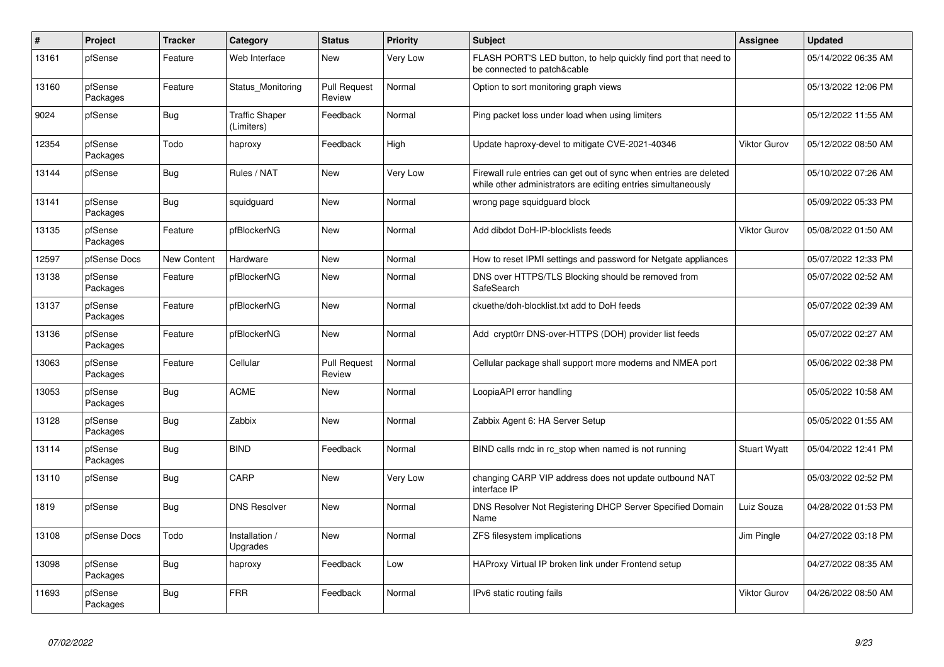| $\sharp$ | Project             | <b>Tracker</b> | Category                            | <b>Status</b>                 | <b>Priority</b> | <b>Subject</b>                                                                                                                      | Assignee            | <b>Updated</b>      |
|----------|---------------------|----------------|-------------------------------------|-------------------------------|-----------------|-------------------------------------------------------------------------------------------------------------------------------------|---------------------|---------------------|
| 13161    | pfSense             | Feature        | Web Interface                       | <b>New</b>                    | Very Low        | FLASH PORT'S LED button, to help quickly find port that need to<br>be connected to patch&cable                                      |                     | 05/14/2022 06:35 AM |
| 13160    | pfSense<br>Packages | Feature        | Status Monitoring                   | <b>Pull Request</b><br>Review | Normal          | Option to sort monitoring graph views                                                                                               |                     | 05/13/2022 12:06 PM |
| 9024     | pfSense             | Bug            | <b>Traffic Shaper</b><br>(Limiters) | Feedback                      | Normal          | Ping packet loss under load when using limiters                                                                                     |                     | 05/12/2022 11:55 AM |
| 12354    | pfSense<br>Packages | Todo           | haproxy                             | Feedback                      | High            | Update haproxy-devel to mitigate CVE-2021-40346                                                                                     | <b>Viktor Gurov</b> | 05/12/2022 08:50 AM |
| 13144    | pfSense             | <b>Bug</b>     | Rules / NAT                         | New                           | Very Low        | Firewall rule entries can get out of sync when entries are deleted<br>while other administrators are editing entries simultaneously |                     | 05/10/2022 07:26 AM |
| 13141    | pfSense<br>Packages | <b>Bug</b>     | squidguard                          | New                           | Normal          | wrong page squidguard block                                                                                                         |                     | 05/09/2022 05:33 PM |
| 13135    | pfSense<br>Packages | Feature        | pfBlockerNG                         | <b>New</b>                    | Normal          | Add dibdot DoH-IP-blocklists feeds                                                                                                  | <b>Viktor Gurov</b> | 05/08/2022 01:50 AM |
| 12597    | pfSense Docs        | New Content    | Hardware                            | <b>New</b>                    | Normal          | How to reset IPMI settings and password for Netgate appliances                                                                      |                     | 05/07/2022 12:33 PM |
| 13138    | pfSense<br>Packages | Feature        | pfBlockerNG                         | New                           | Normal          | DNS over HTTPS/TLS Blocking should be removed from<br>SafeSearch                                                                    |                     | 05/07/2022 02:52 AM |
| 13137    | pfSense<br>Packages | Feature        | pfBlockerNG                         | <b>New</b>                    | Normal          | ckuethe/doh-blocklist.txt add to DoH feeds                                                                                          |                     | 05/07/2022 02:39 AM |
| 13136    | pfSense<br>Packages | Feature        | pfBlockerNG                         | <b>New</b>                    | Normal          | Add crypt0rr DNS-over-HTTPS (DOH) provider list feeds                                                                               |                     | 05/07/2022 02:27 AM |
| 13063    | pfSense<br>Packages | Feature        | Cellular                            | <b>Pull Request</b><br>Review | Normal          | Cellular package shall support more modems and NMEA port                                                                            |                     | 05/06/2022 02:38 PM |
| 13053    | pfSense<br>Packages | Bug            | <b>ACME</b>                         | <b>New</b>                    | Normal          | LoopiaAPI error handling                                                                                                            |                     | 05/05/2022 10:58 AM |
| 13128    | pfSense<br>Packages | Bug            | Zabbix                              | New                           | Normal          | Zabbix Agent 6: HA Server Setup                                                                                                     |                     | 05/05/2022 01:55 AM |
| 13114    | pfSense<br>Packages | <b>Bug</b>     | <b>BIND</b>                         | Feedback                      | Normal          | BIND calls rndc in rc_stop when named is not running                                                                                | <b>Stuart Wyatt</b> | 05/04/2022 12:41 PM |
| 13110    | pfSense             | <b>Bug</b>     | CARP                                | <b>New</b>                    | Very Low        | changing CARP VIP address does not update outbound NAT<br>interface IP                                                              |                     | 05/03/2022 02:52 PM |
| 1819     | pfSense             | <b>Bug</b>     | <b>DNS Resolver</b>                 | <b>New</b>                    | Normal          | DNS Resolver Not Registering DHCP Server Specified Domain<br>Name                                                                   | Luiz Souza          | 04/28/2022 01:53 PM |
| 13108    | pfSense Docs        | Todo           | Installation /<br>Upgrades          | New                           | Normal          | ZFS filesystem implications                                                                                                         | Jim Pingle          | 04/27/2022 03:18 PM |
| 13098    | pfSense<br>Packages | <b>Bug</b>     | haproxy                             | Feedback                      | Low             | HAProxy Virtual IP broken link under Frontend setup                                                                                 |                     | 04/27/2022 08:35 AM |
| 11693    | pfSense<br>Packages | <b>Bug</b>     | <b>FRR</b>                          | Feedback                      | Normal          | IPv6 static routing fails                                                                                                           | <b>Viktor Gurov</b> | 04/26/2022 08:50 AM |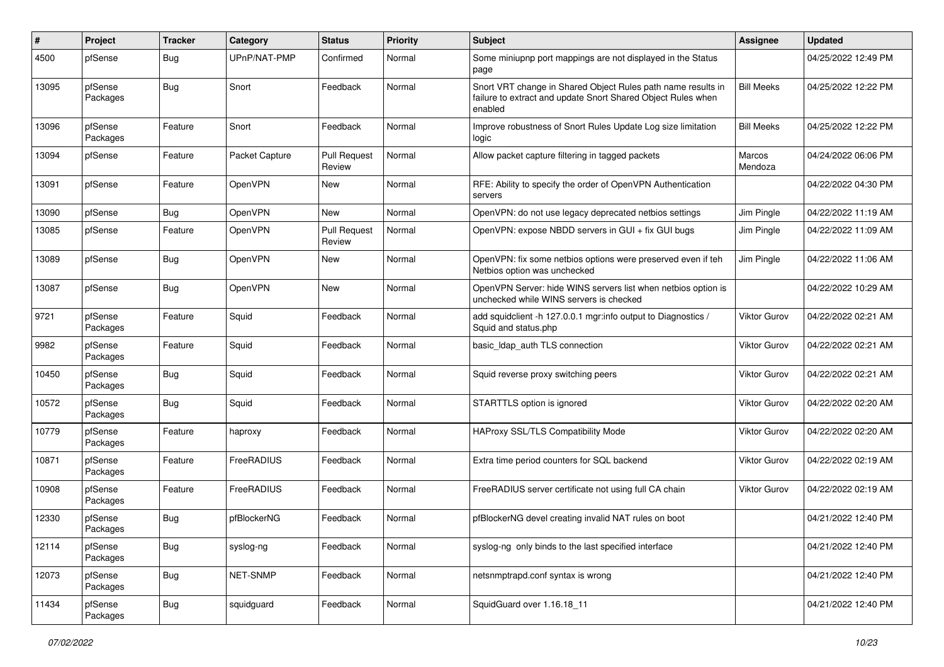| #     | Project             | <b>Tracker</b> | Category       | <b>Status</b>                 | <b>Priority</b> | Subject                                                                                                                                 | <b>Assignee</b>     | <b>Updated</b>      |
|-------|---------------------|----------------|----------------|-------------------------------|-----------------|-----------------------------------------------------------------------------------------------------------------------------------------|---------------------|---------------------|
| 4500  | pfSense             | Bug            | UPnP/NAT-PMP   | Confirmed                     | Normal          | Some miniupnp port mappings are not displayed in the Status<br>page                                                                     |                     | 04/25/2022 12:49 PM |
| 13095 | pfSense<br>Packages | Bug            | Snort          | Feedback                      | Normal          | Snort VRT change in Shared Object Rules path name results in<br>failure to extract and update Snort Shared Object Rules when<br>enabled | <b>Bill Meeks</b>   | 04/25/2022 12:22 PM |
| 13096 | pfSense<br>Packages | Feature        | Snort          | Feedback                      | Normal          | Improve robustness of Snort Rules Update Log size limitation<br>logic                                                                   | <b>Bill Meeks</b>   | 04/25/2022 12:22 PM |
| 13094 | pfSense             | Feature        | Packet Capture | <b>Pull Request</b><br>Review | Normal          | Allow packet capture filtering in tagged packets                                                                                        | Marcos<br>Mendoza   | 04/24/2022 06:06 PM |
| 13091 | pfSense             | Feature        | OpenVPN        | New                           | Normal          | RFE: Ability to specify the order of OpenVPN Authentication<br>servers                                                                  |                     | 04/22/2022 04:30 PM |
| 13090 | pfSense             | Bug            | <b>OpenVPN</b> | New                           | Normal          | OpenVPN: do not use legacy deprecated netbios settings                                                                                  | Jim Pingle          | 04/22/2022 11:19 AM |
| 13085 | pfSense             | Feature        | OpenVPN        | <b>Pull Request</b><br>Review | Normal          | OpenVPN: expose NBDD servers in GUI + fix GUI bugs                                                                                      | Jim Pingle          | 04/22/2022 11:09 AM |
| 13089 | pfSense             | Bug            | OpenVPN        | New                           | Normal          | OpenVPN: fix some netbios options were preserved even if teh<br>Netbios option was unchecked                                            | Jim Pingle          | 04/22/2022 11:06 AM |
| 13087 | pfSense             | Bug            | OpenVPN        | New                           | Normal          | OpenVPN Server: hide WINS servers list when netbios option is<br>unchecked while WINS servers is checked                                |                     | 04/22/2022 10:29 AM |
| 9721  | pfSense<br>Packages | Feature        | Squid          | Feedback                      | Normal          | add squidclient -h 127.0.0.1 mgr:info output to Diagnostics /<br>Squid and status.php                                                   | <b>Viktor Gurov</b> | 04/22/2022 02:21 AM |
| 9982  | pfSense<br>Packages | Feature        | Squid          | Feedback                      | Normal          | basic_Idap_auth TLS connection                                                                                                          | <b>Viktor Gurov</b> | 04/22/2022 02:21 AM |
| 10450 | pfSense<br>Packages | Bug            | Squid          | Feedback                      | Normal          | Squid reverse proxy switching peers                                                                                                     | Viktor Gurov        | 04/22/2022 02:21 AM |
| 10572 | pfSense<br>Packages | Bug            | Squid          | Feedback                      | Normal          | STARTTLS option is ignored                                                                                                              | Viktor Gurov        | 04/22/2022 02:20 AM |
| 10779 | pfSense<br>Packages | Feature        | haproxy        | Feedback                      | Normal          | HAProxy SSL/TLS Compatibility Mode                                                                                                      | <b>Viktor Gurov</b> | 04/22/2022 02:20 AM |
| 10871 | pfSense<br>Packages | Feature        | FreeRADIUS     | Feedback                      | Normal          | Extra time period counters for SQL backend                                                                                              | <b>Viktor Gurov</b> | 04/22/2022 02:19 AM |
| 10908 | pfSense<br>Packages | Feature        | FreeRADIUS     | Feedback                      | Normal          | FreeRADIUS server certificate not using full CA chain                                                                                   | <b>Viktor Gurov</b> | 04/22/2022 02:19 AM |
| 12330 | pfSense<br>Packages | Bug            | pfBlockerNG    | Feedback                      | Normal          | pfBlockerNG devel creating invalid NAT rules on boot                                                                                    |                     | 04/21/2022 12:40 PM |
| 12114 | pfSense<br>Packages | Bug            | syslog-ng      | Feedback                      | Normal          | syslog-ng only binds to the last specified interface                                                                                    |                     | 04/21/2022 12:40 PM |
| 12073 | pfSense<br>Packages | <b>Bug</b>     | NET-SNMP       | Feedback                      | Normal          | netsnmptrapd.conf syntax is wrong                                                                                                       |                     | 04/21/2022 12:40 PM |
| 11434 | pfSense<br>Packages | <b>Bug</b>     | squidguard     | Feedback                      | Normal          | SquidGuard over 1.16.18 11                                                                                                              |                     | 04/21/2022 12:40 PM |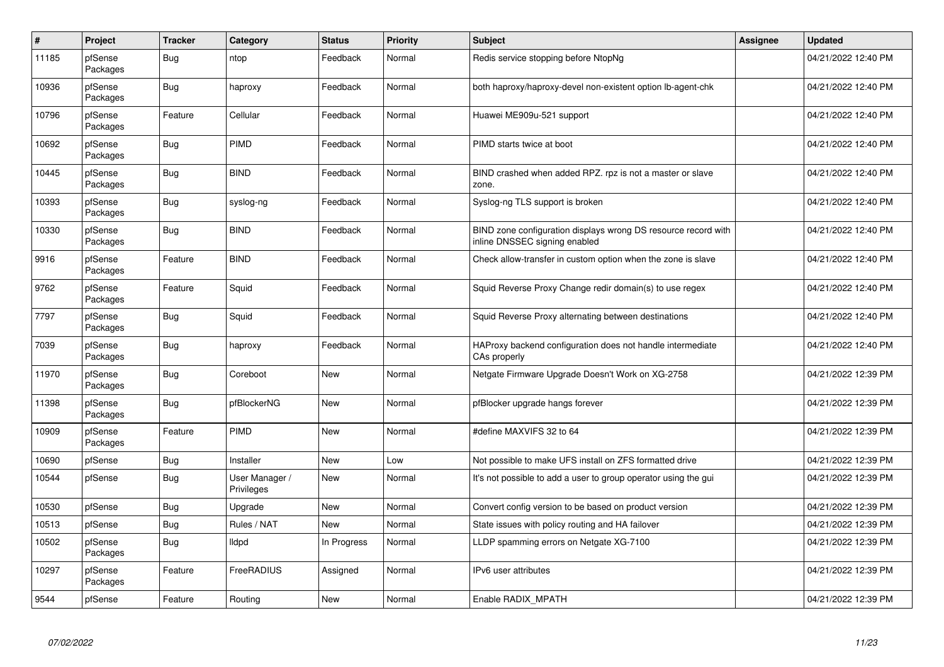| $\#$  | Project             | <b>Tracker</b> | Category                     | <b>Status</b> | <b>Priority</b> | <b>Subject</b>                                                                                  | <b>Assignee</b> | <b>Updated</b>      |
|-------|---------------------|----------------|------------------------------|---------------|-----------------|-------------------------------------------------------------------------------------------------|-----------------|---------------------|
| 11185 | pfSense<br>Packages | Bug            | ntop                         | Feedback      | Normal          | Redis service stopping before NtopNg                                                            |                 | 04/21/2022 12:40 PM |
| 10936 | pfSense<br>Packages | Bug            | haproxy                      | Feedback      | Normal          | both haproxy/haproxy-devel non-existent option Ib-agent-chk                                     |                 | 04/21/2022 12:40 PM |
| 10796 | pfSense<br>Packages | Feature        | Cellular                     | Feedback      | Normal          | Huawei ME909u-521 support                                                                       |                 | 04/21/2022 12:40 PM |
| 10692 | pfSense<br>Packages | Bug            | PIMD                         | Feedback      | Normal          | PIMD starts twice at boot                                                                       |                 | 04/21/2022 12:40 PM |
| 10445 | pfSense<br>Packages | <b>Bug</b>     | <b>BIND</b>                  | Feedback      | Normal          | BIND crashed when added RPZ. rpz is not a master or slave<br>zone.                              |                 | 04/21/2022 12:40 PM |
| 10393 | pfSense<br>Packages | Bug            | syslog-ng                    | Feedback      | Normal          | Syslog-ng TLS support is broken                                                                 |                 | 04/21/2022 12:40 PM |
| 10330 | pfSense<br>Packages | Bug            | <b>BIND</b>                  | Feedback      | Normal          | BIND zone configuration displays wrong DS resource record with<br>inline DNSSEC signing enabled |                 | 04/21/2022 12:40 PM |
| 9916  | pfSense<br>Packages | Feature        | <b>BIND</b>                  | Feedback      | Normal          | Check allow-transfer in custom option when the zone is slave                                    |                 | 04/21/2022 12:40 PM |
| 9762  | pfSense<br>Packages | Feature        | Squid                        | Feedback      | Normal          | Squid Reverse Proxy Change redir domain(s) to use regex                                         |                 | 04/21/2022 12:40 PM |
| 7797  | pfSense<br>Packages | Bug            | Squid                        | Feedback      | Normal          | Squid Reverse Proxy alternating between destinations                                            |                 | 04/21/2022 12:40 PM |
| 7039  | pfSense<br>Packages | <b>Bug</b>     | haproxy                      | Feedback      | Normal          | HAProxy backend configuration does not handle intermediate<br>CAs properly                      |                 | 04/21/2022 12:40 PM |
| 11970 | pfSense<br>Packages | Bug            | Coreboot                     | <b>New</b>    | Normal          | Netgate Firmware Upgrade Doesn't Work on XG-2758                                                |                 | 04/21/2022 12:39 PM |
| 11398 | pfSense<br>Packages | Bug            | pfBlockerNG                  | New           | Normal          | pfBlocker upgrade hangs forever                                                                 |                 | 04/21/2022 12:39 PM |
| 10909 | pfSense<br>Packages | Feature        | PIMD                         | <b>New</b>    | Normal          | #define MAXVIFS 32 to 64                                                                        |                 | 04/21/2022 12:39 PM |
| 10690 | pfSense             | <b>Bug</b>     | Installer                    | <b>New</b>    | Low             | Not possible to make UFS install on ZFS formatted drive                                         |                 | 04/21/2022 12:39 PM |
| 10544 | pfSense             | <b>Bug</b>     | User Manager /<br>Privileges | <b>New</b>    | Normal          | It's not possible to add a user to group operator using the gui                                 |                 | 04/21/2022 12:39 PM |
| 10530 | pfSense             | <b>Bug</b>     | Upgrade                      | <b>New</b>    | Normal          | Convert config version to be based on product version                                           |                 | 04/21/2022 12:39 PM |
| 10513 | pfSense             | Bug            | Rules / NAT                  | <b>New</b>    | Normal          | State issues with policy routing and HA failover                                                |                 | 04/21/2022 12:39 PM |
| 10502 | pfSense<br>Packages | Bug            | lldpd                        | In Progress   | Normal          | LLDP spamming errors on Netgate XG-7100                                                         |                 | 04/21/2022 12:39 PM |
| 10297 | pfSense<br>Packages | Feature        | FreeRADIUS                   | Assigned      | Normal          | IPv6 user attributes                                                                            |                 | 04/21/2022 12:39 PM |
| 9544  | pfSense             | Feature        | Routing                      | New           | Normal          | Enable RADIX MPATH                                                                              |                 | 04/21/2022 12:39 PM |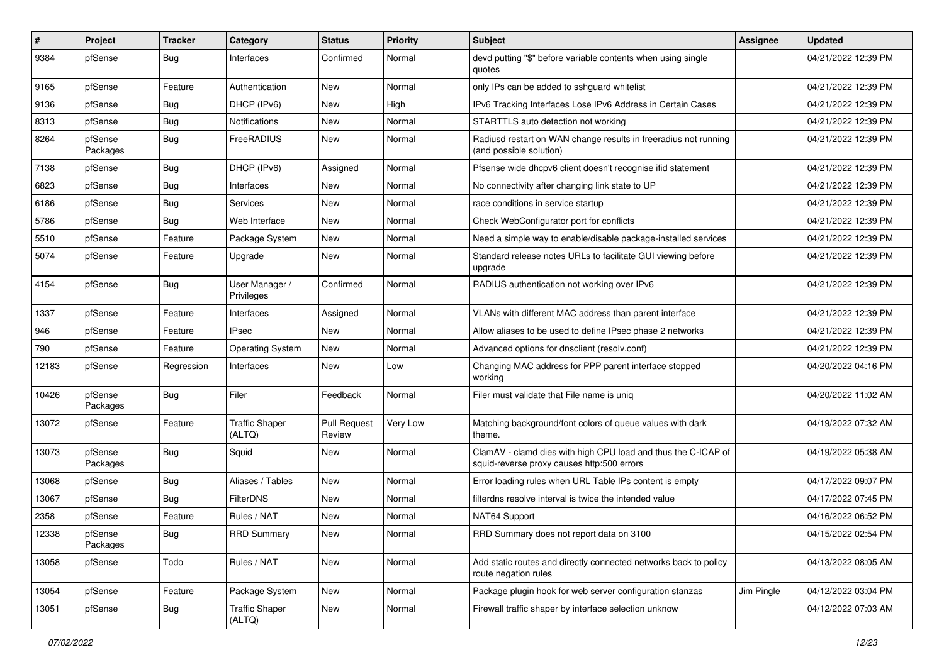| $\#$  | Project             | <b>Tracker</b> | Category                        | <b>Status</b>                 | <b>Priority</b> | <b>Subject</b>                                                                                              | <b>Assignee</b> | <b>Updated</b>      |
|-------|---------------------|----------------|---------------------------------|-------------------------------|-----------------|-------------------------------------------------------------------------------------------------------------|-----------------|---------------------|
| 9384  | pfSense             | Bug            | Interfaces                      | Confirmed                     | Normal          | devd putting "\$" before variable contents when using single<br>quotes                                      |                 | 04/21/2022 12:39 PM |
| 9165  | pfSense             | Feature        | Authentication                  | New                           | Normal          | only IPs can be added to sshguard whitelist                                                                 |                 | 04/21/2022 12:39 PM |
| 9136  | pfSense             | Bug            | DHCP (IPv6)                     | New                           | High            | IPv6 Tracking Interfaces Lose IPv6 Address in Certain Cases                                                 |                 | 04/21/2022 12:39 PM |
| 8313  | pfSense             | Bug            | <b>Notifications</b>            | New                           | Normal          | STARTTLS auto detection not working                                                                         |                 | 04/21/2022 12:39 PM |
| 8264  | pfSense<br>Packages | Bug            | FreeRADIUS                      | New                           | Normal          | Radiusd restart on WAN change results in freeradius not running<br>(and possible solution)                  |                 | 04/21/2022 12:39 PM |
| 7138  | pfSense             | Bug            | DHCP (IPv6)                     | Assigned                      | Normal          | Pfsense wide dhcpv6 client doesn't recognise ifid statement                                                 |                 | 04/21/2022 12:39 PM |
| 6823  | pfSense             | Bug            | Interfaces                      | New                           | Normal          | No connectivity after changing link state to UP                                                             |                 | 04/21/2022 12:39 PM |
| 6186  | pfSense             | Bug            | Services                        | New                           | Normal          | race conditions in service startup                                                                          |                 | 04/21/2022 12:39 PM |
| 5786  | pfSense             | Bug            | Web Interface                   | New                           | Normal          | Check WebConfigurator port for conflicts                                                                    |                 | 04/21/2022 12:39 PM |
| 5510  | pfSense             | Feature        | Package System                  | New                           | Normal          | Need a simple way to enable/disable package-installed services                                              |                 | 04/21/2022 12:39 PM |
| 5074  | pfSense             | Feature        | Upgrade                         | New                           | Normal          | Standard release notes URLs to facilitate GUI viewing before<br>upgrade                                     |                 | 04/21/2022 12:39 PM |
| 4154  | pfSense             | Bug            | User Manager /<br>Privileges    | Confirmed                     | Normal          | RADIUS authentication not working over IPv6                                                                 |                 | 04/21/2022 12:39 PM |
| 1337  | pfSense             | Feature        | Interfaces                      | Assigned                      | Normal          | VLANs with different MAC address than parent interface                                                      |                 | 04/21/2022 12:39 PM |
| 946   | pfSense             | Feature        | IPsec                           | New                           | Normal          | Allow aliases to be used to define IPsec phase 2 networks                                                   |                 | 04/21/2022 12:39 PM |
| 790   | pfSense             | Feature        | <b>Operating System</b>         | New                           | Normal          | Advanced options for dnsclient (resolv.conf)                                                                |                 | 04/21/2022 12:39 PM |
| 12183 | pfSense             | Regression     | Interfaces                      | New                           | Low             | Changing MAC address for PPP parent interface stopped<br>working                                            |                 | 04/20/2022 04:16 PM |
| 10426 | pfSense<br>Packages | Bug            | Filer                           | Feedback                      | Normal          | Filer must validate that File name is uniq                                                                  |                 | 04/20/2022 11:02 AM |
| 13072 | pfSense             | Feature        | <b>Traffic Shaper</b><br>(ALTQ) | <b>Pull Request</b><br>Review | Very Low        | Matching background/font colors of queue values with dark<br>theme.                                         |                 | 04/19/2022 07:32 AM |
| 13073 | pfSense<br>Packages | Bug            | Squid                           | New                           | Normal          | ClamAV - clamd dies with high CPU load and thus the C-ICAP of<br>squid-reverse proxy causes http:500 errors |                 | 04/19/2022 05:38 AM |
| 13068 | pfSense             | Bug            | Aliases / Tables                | <b>New</b>                    | Normal          | Error loading rules when URL Table IPs content is empty                                                     |                 | 04/17/2022 09:07 PM |
| 13067 | pfSense             | Bug            | FilterDNS                       | New                           | Normal          | filterdns resolve interval is twice the intended value                                                      |                 | 04/17/2022 07:45 PM |
| 2358  | pfSense             | Feature        | Rules / NAT                     | New                           | Normal          | NAT64 Support                                                                                               |                 | 04/16/2022 06:52 PM |
| 12338 | pfSense<br>Packages | <b>Bug</b>     | <b>RRD Summary</b>              | New                           | Normal          | RRD Summary does not report data on 3100                                                                    |                 | 04/15/2022 02:54 PM |
| 13058 | pfSense             | Todo           | Rules / NAT                     | New                           | Normal          | Add static routes and directly connected networks back to policy<br>route negation rules                    |                 | 04/13/2022 08:05 AM |
| 13054 | pfSense             | Feature        | Package System                  | New                           | Normal          | Package plugin hook for web server configuration stanzas                                                    | Jim Pingle      | 04/12/2022 03:04 PM |
| 13051 | pfSense             | <b>Bug</b>     | <b>Traffic Shaper</b><br>(ALTQ) | New                           | Normal          | Firewall traffic shaper by interface selection unknow                                                       |                 | 04/12/2022 07:03 AM |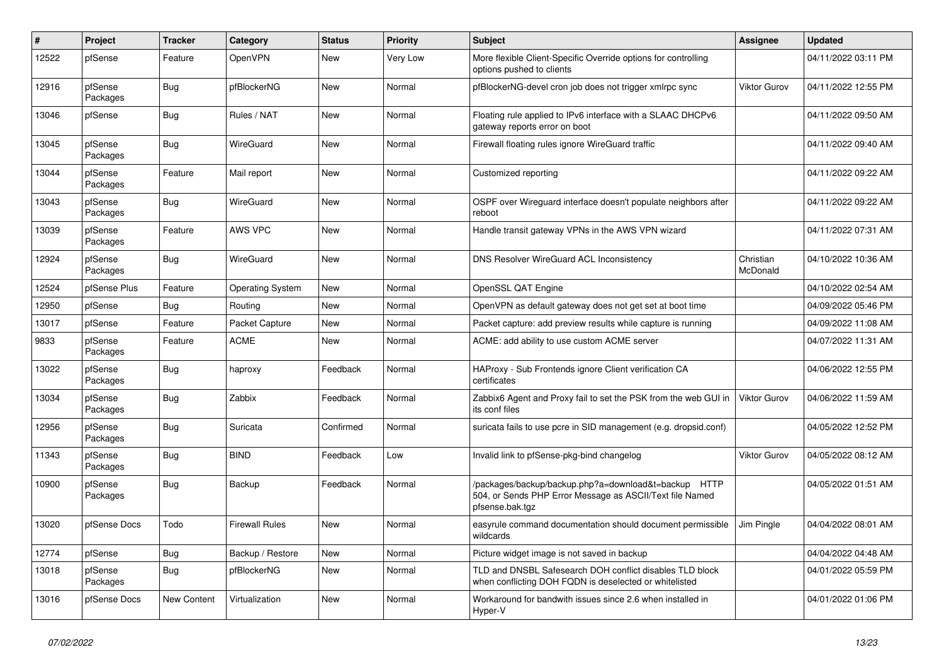| $\#$  | Project             | <b>Tracker</b> | Category                | <b>Status</b> | <b>Priority</b> | <b>Subject</b>                                                                                                                      | Assignee              | <b>Updated</b>      |
|-------|---------------------|----------------|-------------------------|---------------|-----------------|-------------------------------------------------------------------------------------------------------------------------------------|-----------------------|---------------------|
| 12522 | pfSense             | Feature        | OpenVPN                 | <b>New</b>    | Very Low        | More flexible Client-Specific Override options for controlling<br>options pushed to clients                                         |                       | 04/11/2022 03:11 PM |
| 12916 | pfSense<br>Packages | Bug            | pfBlockerNG             | New           | Normal          | pfBlockerNG-devel cron job does not trigger xmlrpc sync                                                                             | Viktor Gurov          | 04/11/2022 12:55 PM |
| 13046 | pfSense             | Bug            | Rules / NAT             | <b>New</b>    | Normal          | Floating rule applied to IPv6 interface with a SLAAC DHCPv6<br>gateway reports error on boot                                        |                       | 04/11/2022 09:50 AM |
| 13045 | pfSense<br>Packages | <b>Bug</b>     | WireGuard               | <b>New</b>    | Normal          | Firewall floating rules ignore WireGuard traffic                                                                                    |                       | 04/11/2022 09:40 AM |
| 13044 | pfSense<br>Packages | Feature        | Mail report             | New           | Normal          | Customized reporting                                                                                                                |                       | 04/11/2022 09:22 AM |
| 13043 | pfSense<br>Packages | Bug            | WireGuard               | <b>New</b>    | Normal          | OSPF over Wireguard interface doesn't populate neighbors after<br>reboot                                                            |                       | 04/11/2022 09:22 AM |
| 13039 | pfSense<br>Packages | Feature        | <b>AWS VPC</b>          | <b>New</b>    | Normal          | Handle transit gateway VPNs in the AWS VPN wizard                                                                                   |                       | 04/11/2022 07:31 AM |
| 12924 | pfSense<br>Packages | Bug            | WireGuard               | New           | Normal          | DNS Resolver WireGuard ACL Inconsistency                                                                                            | Christian<br>McDonald | 04/10/2022 10:36 AM |
| 12524 | pfSense Plus        | Feature        | <b>Operating System</b> | <b>New</b>    | Normal          | OpenSSL QAT Engine                                                                                                                  |                       | 04/10/2022 02:54 AM |
| 12950 | pfSense             | Bug            | Routing                 | <b>New</b>    | Normal          | OpenVPN as default gateway does not get set at boot time                                                                            |                       | 04/09/2022 05:46 PM |
| 13017 | pfSense             | Feature        | Packet Capture          | <b>New</b>    | Normal          | Packet capture: add preview results while capture is running                                                                        |                       | 04/09/2022 11:08 AM |
| 9833  | pfSense<br>Packages | Feature        | <b>ACME</b>             | <b>New</b>    | Normal          | ACME: add ability to use custom ACME server                                                                                         |                       | 04/07/2022 11:31 AM |
| 13022 | pfSense<br>Packages | Bug            | haproxy                 | Feedback      | Normal          | HAProxy - Sub Frontends ignore Client verification CA<br>certificates                                                               |                       | 04/06/2022 12:55 PM |
| 13034 | pfSense<br>Packages | Bug            | Zabbix                  | Feedback      | Normal          | Zabbix6 Agent and Proxy fail to set the PSK from the web GUI in<br>its conf files                                                   | Viktor Gurov          | 04/06/2022 11:59 AM |
| 12956 | pfSense<br>Packages | Bug            | Suricata                | Confirmed     | Normal          | suricata fails to use pcre in SID management (e.g. dropsid.conf)                                                                    |                       | 04/05/2022 12:52 PM |
| 11343 | pfSense<br>Packages | <b>Bug</b>     | <b>BIND</b>             | Feedback      | Low             | Invalid link to pfSense-pkg-bind changelog                                                                                          | <b>Viktor Gurov</b>   | 04/05/2022 08:12 AM |
| 10900 | pfSense<br>Packages | Bug            | Backup                  | Feedback      | Normal          | /packages/backup/backup.php?a=download&t=backup HTTP<br>504, or Sends PHP Error Message as ASCII/Text file Named<br>pfsense.bak.tgz |                       | 04/05/2022 01:51 AM |
| 13020 | pfSense Docs        | Todo           | <b>Firewall Rules</b>   | <b>New</b>    | Normal          | easyrule command documentation should document permissible<br>wildcards                                                             | Jim Pingle            | 04/04/2022 08:01 AM |
| 12774 | pfSense             | Bug            | Backup / Restore        | <b>New</b>    | Normal          | Picture widget image is not saved in backup                                                                                         |                       | 04/04/2022 04:48 AM |
| 13018 | pfSense<br>Packages | Bug            | pfBlockerNG             | New           | Normal          | TLD and DNSBL Safesearch DOH conflict disables TLD block<br>when conflicting DOH FQDN is deselected or whitelisted                  |                       | 04/01/2022 05:59 PM |
| 13016 | pfSense Docs        | New Content    | Virtualization          | <b>New</b>    | Normal          | Workaround for bandwith issues since 2.6 when installed in<br>Hyper-V                                                               |                       | 04/01/2022 01:06 PM |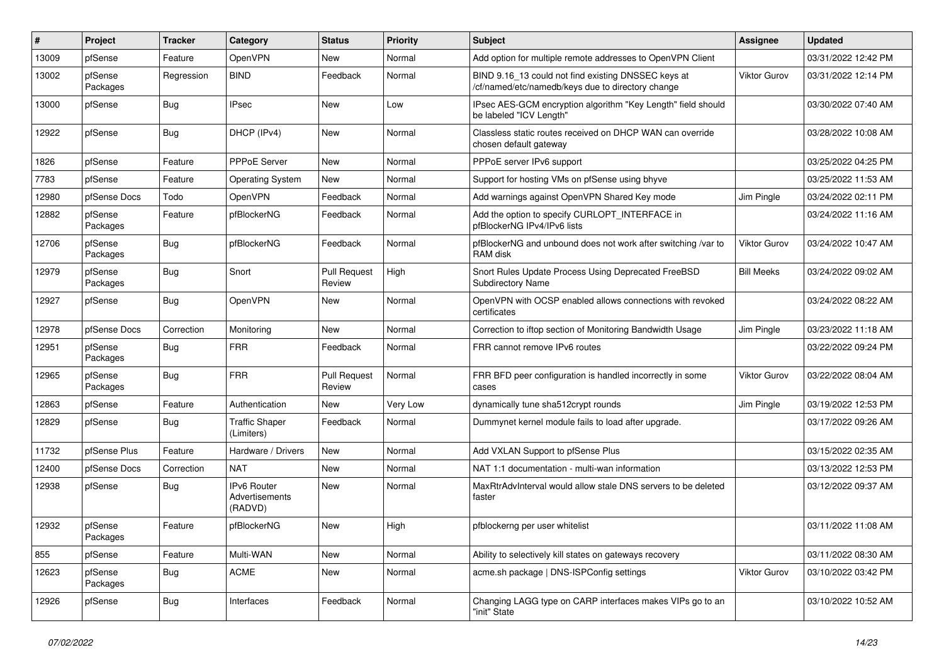| #     | Project             | <b>Tracker</b> | Category                                        | <b>Status</b>                 | <b>Priority</b> | Subject                                                                                                  | <b>Assignee</b>     | <b>Updated</b>      |
|-------|---------------------|----------------|-------------------------------------------------|-------------------------------|-----------------|----------------------------------------------------------------------------------------------------------|---------------------|---------------------|
| 13009 | pfSense             | Feature        | OpenVPN                                         | New                           | Normal          | Add option for multiple remote addresses to OpenVPN Client                                               |                     | 03/31/2022 12:42 PM |
| 13002 | pfSense<br>Packages | Regression     | <b>BIND</b>                                     | Feedback                      | Normal          | BIND 9.16_13 could not find existing DNSSEC keys at<br>/cf/named/etc/namedb/keys due to directory change | <b>Viktor Gurov</b> | 03/31/2022 12:14 PM |
| 13000 | pfSense             | Bug            | <b>IPsec</b>                                    | <b>New</b>                    | Low             | IPsec AES-GCM encryption algorithm "Key Length" field should<br>be labeled "ICV Length"                  |                     | 03/30/2022 07:40 AM |
| 12922 | pfSense             | Bug            | DHCP (IPv4)                                     | <b>New</b>                    | Normal          | Classless static routes received on DHCP WAN can override<br>chosen default gateway                      |                     | 03/28/2022 10:08 AM |
| 1826  | pfSense             | Feature        | PPPoE Server                                    | <b>New</b>                    | Normal          | PPPoE server IPv6 support                                                                                |                     | 03/25/2022 04:25 PM |
| 7783  | pfSense             | Feature        | <b>Operating System</b>                         | New                           | Normal          | Support for hosting VMs on pfSense using bhyve                                                           |                     | 03/25/2022 11:53 AM |
| 12980 | pfSense Docs        | Todo           | OpenVPN                                         | Feedback                      | Normal          | Add warnings against OpenVPN Shared Key mode                                                             | Jim Pingle          | 03/24/2022 02:11 PM |
| 12882 | pfSense<br>Packages | Feature        | pfBlockerNG                                     | Feedback                      | Normal          | Add the option to specify CURLOPT_INTERFACE in<br>pfBlockerNG IPv4/IPv6 lists                            |                     | 03/24/2022 11:16 AM |
| 12706 | pfSense<br>Packages | <b>Bug</b>     | pfBlockerNG                                     | Feedback                      | Normal          | pfBlockerNG and unbound does not work after switching /var to<br>RAM disk                                | <b>Viktor Gurov</b> | 03/24/2022 10:47 AM |
| 12979 | pfSense<br>Packages | Bug            | Snort                                           | <b>Pull Request</b><br>Review | High            | Snort Rules Update Process Using Deprecated FreeBSD<br>Subdirectory Name                                 | <b>Bill Meeks</b>   | 03/24/2022 09:02 AM |
| 12927 | pfSense             | <b>Bug</b>     | <b>OpenVPN</b>                                  | New                           | Normal          | OpenVPN with OCSP enabled allows connections with revoked<br>certificates                                |                     | 03/24/2022 08:22 AM |
| 12978 | pfSense Docs        | Correction     | Monitoring                                      | <b>New</b>                    | Normal          | Correction to iftop section of Monitoring Bandwidth Usage                                                | Jim Pingle          | 03/23/2022 11:18 AM |
| 12951 | pfSense<br>Packages | Bug            | <b>FRR</b>                                      | Feedback                      | Normal          | FRR cannot remove IPv6 routes                                                                            |                     | 03/22/2022 09:24 PM |
| 12965 | pfSense<br>Packages | <b>Bug</b>     | <b>FRR</b>                                      | <b>Pull Request</b><br>Review | Normal          | FRR BFD peer configuration is handled incorrectly in some<br>cases                                       | <b>Viktor Gurov</b> | 03/22/2022 08:04 AM |
| 12863 | pfSense             | Feature        | Authentication                                  | New                           | Very Low        | dynamically tune sha512crypt rounds                                                                      | Jim Pingle          | 03/19/2022 12:53 PM |
| 12829 | pfSense             | Bug            | <b>Traffic Shaper</b><br>(Limiters)             | Feedback                      | Normal          | Dummynet kernel module fails to load after upgrade.                                                      |                     | 03/17/2022 09:26 AM |
| 11732 | pfSense Plus        | Feature        | Hardware / Drivers                              | <b>New</b>                    | Normal          | Add VXLAN Support to pfSense Plus                                                                        |                     | 03/15/2022 02:35 AM |
| 12400 | pfSense Docs        | Correction     | <b>NAT</b>                                      | New                           | Normal          | NAT 1:1 documentation - multi-wan information                                                            |                     | 03/13/2022 12:53 PM |
| 12938 | pfSense             | <b>Bug</b>     | <b>IPv6 Router</b><br>Advertisements<br>(RADVD) | <b>New</b>                    | Normal          | MaxRtrAdvInterval would allow stale DNS servers to be deleted<br>faster                                  |                     | 03/12/2022 09:37 AM |
| 12932 | pfSense<br>Packages | Feature        | pfBlockerNG                                     | <b>New</b>                    | High            | pfblockerng per user whitelist                                                                           |                     | 03/11/2022 11:08 AM |
| 855   | pfSense             | Feature        | Multi-WAN                                       | New                           | Normal          | Ability to selectively kill states on gateways recovery                                                  |                     | 03/11/2022 08:30 AM |
| 12623 | pfSense<br>Packages | <b>Bug</b>     | <b>ACME</b>                                     | New                           | Normal          | acme.sh package   DNS-ISPConfig settings                                                                 | <b>Viktor Gurov</b> | 03/10/2022 03:42 PM |
| 12926 | pfSense             | <b>Bug</b>     | Interfaces                                      | Feedback                      | Normal          | Changing LAGG type on CARP interfaces makes VIPs go to an<br>"init" State                                |                     | 03/10/2022 10:52 AM |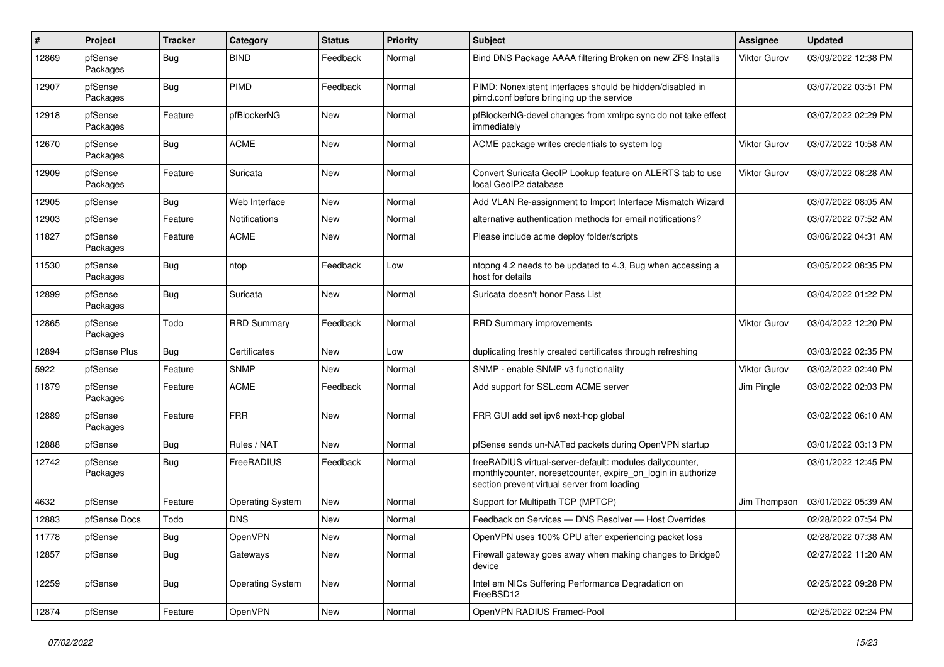| #     | Project             | <b>Tracker</b> | Category                | <b>Status</b> | <b>Priority</b> | Subject                                                                                                                                                                 | Assignee            | <b>Updated</b>      |
|-------|---------------------|----------------|-------------------------|---------------|-----------------|-------------------------------------------------------------------------------------------------------------------------------------------------------------------------|---------------------|---------------------|
| 12869 | pfSense<br>Packages | Bug            | <b>BIND</b>             | Feedback      | Normal          | Bind DNS Package AAAA filtering Broken on new ZFS Installs                                                                                                              | <b>Viktor Gurov</b> | 03/09/2022 12:38 PM |
| 12907 | pfSense<br>Packages | Bug            | <b>PIMD</b>             | Feedback      | Normal          | PIMD: Nonexistent interfaces should be hidden/disabled in<br>pimd.conf before bringing up the service                                                                   |                     | 03/07/2022 03:51 PM |
| 12918 | pfSense<br>Packages | Feature        | pfBlockerNG             | <b>New</b>    | Normal          | pfBlockerNG-devel changes from xmlrpc sync do not take effect<br>immediately                                                                                            |                     | 03/07/2022 02:29 PM |
| 12670 | pfSense<br>Packages | <b>Bug</b>     | <b>ACME</b>             | <b>New</b>    | Normal          | ACME package writes credentials to system log                                                                                                                           | <b>Viktor Gurov</b> | 03/07/2022 10:58 AM |
| 12909 | pfSense<br>Packages | Feature        | Suricata                | <b>New</b>    | Normal          | Convert Suricata GeoIP Lookup feature on ALERTS tab to use<br>local GeoIP2 database                                                                                     | <b>Viktor Gurov</b> | 03/07/2022 08:28 AM |
| 12905 | pfSense             | Bug            | Web Interface           | New           | Normal          | Add VLAN Re-assignment to Import Interface Mismatch Wizard                                                                                                              |                     | 03/07/2022 08:05 AM |
| 12903 | pfSense             | Feature        | Notifications           | <b>New</b>    | Normal          | alternative authentication methods for email notifications?                                                                                                             |                     | 03/07/2022 07:52 AM |
| 11827 | pfSense<br>Packages | Feature        | <b>ACME</b>             | <b>New</b>    | Normal          | Please include acme deploy folder/scripts                                                                                                                               |                     | 03/06/2022 04:31 AM |
| 11530 | pfSense<br>Packages | Bug            | ntop                    | Feedback      | Low             | ntopng 4.2 needs to be updated to 4.3, Bug when accessing a<br>host for details                                                                                         |                     | 03/05/2022 08:35 PM |
| 12899 | pfSense<br>Packages | Bug            | Suricata                | New           | Normal          | Suricata doesn't honor Pass List                                                                                                                                        |                     | 03/04/2022 01:22 PM |
| 12865 | pfSense<br>Packages | Todo           | <b>RRD Summary</b>      | Feedback      | Normal          | <b>RRD Summary improvements</b>                                                                                                                                         | <b>Viktor Gurov</b> | 03/04/2022 12:20 PM |
| 12894 | pfSense Plus        | Bug            | Certificates            | <b>New</b>    | Low             | duplicating freshly created certificates through refreshing                                                                                                             |                     | 03/03/2022 02:35 PM |
| 5922  | pfSense             | Feature        | <b>SNMP</b>             | New           | Normal          | SNMP - enable SNMP v3 functionality                                                                                                                                     | <b>Viktor Gurov</b> | 03/02/2022 02:40 PM |
| 11879 | pfSense<br>Packages | Feature        | <b>ACME</b>             | Feedback      | Normal          | Add support for SSL.com ACME server                                                                                                                                     | Jim Pingle          | 03/02/2022 02:03 PM |
| 12889 | pfSense<br>Packages | Feature        | <b>FRR</b>              | <b>New</b>    | Normal          | FRR GUI add set ipv6 next-hop global                                                                                                                                    |                     | 03/02/2022 06:10 AM |
| 12888 | pfSense             | Bug            | Rules / NAT             | <b>New</b>    | Normal          | pfSense sends un-NATed packets during OpenVPN startup                                                                                                                   |                     | 03/01/2022 03:13 PM |
| 12742 | pfSense<br>Packages | <b>Bug</b>     | FreeRADIUS              | Feedback      | Normal          | freeRADIUS virtual-server-default: modules dailycounter,<br>monthlycounter, noresetcounter, expire on login in authorize<br>section prevent virtual server from loading |                     | 03/01/2022 12:45 PM |
| 4632  | pfSense             | Feature        | <b>Operating System</b> | <b>New</b>    | Normal          | Support for Multipath TCP (MPTCP)                                                                                                                                       | Jim Thompson        | 03/01/2022 05:39 AM |
| 12883 | pfSense Docs        | Todo           | <b>DNS</b>              | New           | Normal          | Feedback on Services - DNS Resolver - Host Overrides                                                                                                                    |                     | 02/28/2022 07:54 PM |
| 11778 | pfSense             | <b>Bug</b>     | OpenVPN                 | <b>New</b>    | Normal          | OpenVPN uses 100% CPU after experiencing packet loss                                                                                                                    |                     | 02/28/2022 07:38 AM |
| 12857 | pfSense             | <b>Bug</b>     | Gateways                | New           | Normal          | Firewall gateway goes away when making changes to Bridge0<br>device                                                                                                     |                     | 02/27/2022 11:20 AM |
| 12259 | pfSense             | <b>Bug</b>     | <b>Operating System</b> | New           | Normal          | Intel em NICs Suffering Performance Degradation on<br>FreeBSD12                                                                                                         |                     | 02/25/2022 09:28 PM |
| 12874 | pfSense             | Feature        | OpenVPN                 | New           | Normal          | OpenVPN RADIUS Framed-Pool                                                                                                                                              |                     | 02/25/2022 02:24 PM |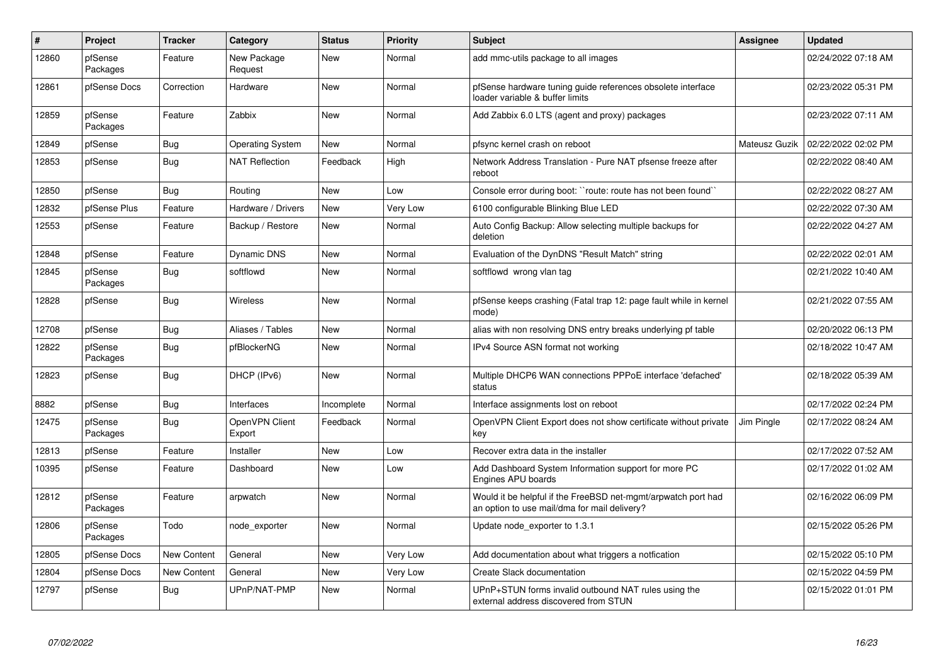| $\vert$ # | Project             | <b>Tracker</b>     | Category                 | <b>Status</b> | <b>Priority</b> | <b>Subject</b>                                                                                                | Assignee      | <b>Updated</b>      |
|-----------|---------------------|--------------------|--------------------------|---------------|-----------------|---------------------------------------------------------------------------------------------------------------|---------------|---------------------|
| 12860     | pfSense<br>Packages | Feature            | New Package<br>Request   | <b>New</b>    | Normal          | add mmc-utils package to all images                                                                           |               | 02/24/2022 07:18 AM |
| 12861     | pfSense Docs        | Correction         | Hardware                 | New           | Normal          | pfSense hardware tuning guide references obsolete interface<br>loader variable & buffer limits                |               | 02/23/2022 05:31 PM |
| 12859     | pfSense<br>Packages | Feature            | Zabbix                   | <b>New</b>    | Normal          | Add Zabbix 6.0 LTS (agent and proxy) packages                                                                 |               | 02/23/2022 07:11 AM |
| 12849     | pfSense             | Bug                | <b>Operating System</b>  | <b>New</b>    | Normal          | pfsync kernel crash on reboot                                                                                 | Mateusz Guzik | 02/22/2022 02:02 PM |
| 12853     | pfSense             | Bug                | <b>NAT Reflection</b>    | Feedback      | High            | Network Address Translation - Pure NAT pfsense freeze after<br>reboot                                         |               | 02/22/2022 08:40 AM |
| 12850     | pfSense             | Bug                | Routing                  | New           | Low             | Console error during boot: "route: route has not been found"                                                  |               | 02/22/2022 08:27 AM |
| 12832     | pfSense Plus        | Feature            | Hardware / Drivers       | <b>New</b>    | Very Low        | 6100 configurable Blinking Blue LED                                                                           |               | 02/22/2022 07:30 AM |
| 12553     | pfSense             | Feature            | Backup / Restore         | New           | Normal          | Auto Config Backup: Allow selecting multiple backups for<br>deletion                                          |               | 02/22/2022 04:27 AM |
| 12848     | pfSense             | Feature            | Dynamic DNS              | <b>New</b>    | Normal          | Evaluation of the DynDNS "Result Match" string                                                                |               | 02/22/2022 02:01 AM |
| 12845     | pfSense<br>Packages | Bug                | softflowd                | New           | Normal          | softflowd wrong vlan tag                                                                                      |               | 02/21/2022 10:40 AM |
| 12828     | pfSense             | Bug                | <b>Wireless</b>          | <b>New</b>    | Normal          | pfSense keeps crashing (Fatal trap 12: page fault while in kernel<br>mode)                                    |               | 02/21/2022 07:55 AM |
| 12708     | pfSense             | <b>Bug</b>         | Aliases / Tables         | <b>New</b>    | Normal          | alias with non resolving DNS entry breaks underlying pf table                                                 |               | 02/20/2022 06:13 PM |
| 12822     | pfSense<br>Packages | Bug                | pfBlockerNG              | <b>New</b>    | Normal          | IPv4 Source ASN format not working                                                                            |               | 02/18/2022 10:47 AM |
| 12823     | pfSense             | <b>Bug</b>         | DHCP (IPv6)              | <b>New</b>    | Normal          | Multiple DHCP6 WAN connections PPPoE interface 'defached'<br>status                                           |               | 02/18/2022 05:39 AM |
| 8882      | pfSense             | <b>Bug</b>         | Interfaces               | Incomplete    | Normal          | Interface assignments lost on reboot                                                                          |               | 02/17/2022 02:24 PM |
| 12475     | pfSense<br>Packages | <b>Bug</b>         | OpenVPN Client<br>Export | Feedback      | Normal          | OpenVPN Client Export does not show certificate without private<br>key                                        | Jim Pingle    | 02/17/2022 08:24 AM |
| 12813     | pfSense             | Feature            | Installer                | <b>New</b>    | Low             | Recover extra data in the installer                                                                           |               | 02/17/2022 07:52 AM |
| 10395     | pfSense             | Feature            | Dashboard                | <b>New</b>    | Low             | Add Dashboard System Information support for more PC<br>Engines APU boards                                    |               | 02/17/2022 01:02 AM |
| 12812     | pfSense<br>Packages | Feature            | arpwatch                 | <b>New</b>    | Normal          | Would it be helpful if the FreeBSD net-mgmt/arpwatch port had<br>an option to use mail/dma for mail delivery? |               | 02/16/2022 06:09 PM |
| 12806     | pfSense<br>Packages | Todo               | node_exporter            | <b>New</b>    | Normal          | Update node exporter to 1.3.1                                                                                 |               | 02/15/2022 05:26 PM |
| 12805     | pfSense Docs        | <b>New Content</b> | General                  | <b>New</b>    | Very Low        | Add documentation about what triggers a notfication                                                           |               | 02/15/2022 05:10 PM |
| 12804     | pfSense Docs        | <b>New Content</b> | General                  | New           | Very Low        | Create Slack documentation                                                                                    |               | 02/15/2022 04:59 PM |
| 12797     | pfSense             | Bug                | UPnP/NAT-PMP             | <b>New</b>    | Normal          | UPnP+STUN forms invalid outbound NAT rules using the<br>external address discovered from STUN                 |               | 02/15/2022 01:01 PM |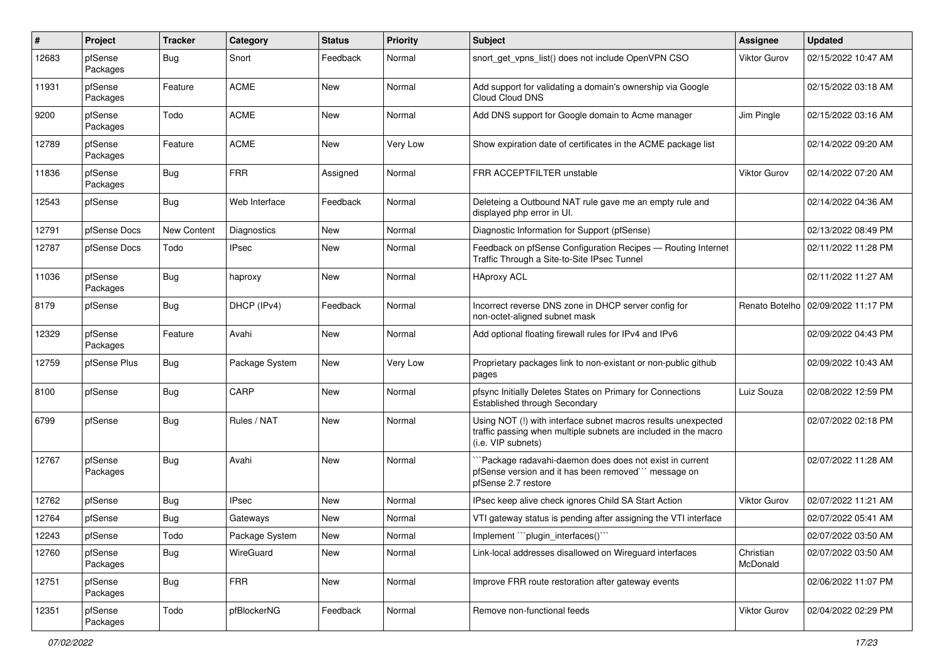| #     | Project             | <b>Tracker</b> | Category           | <b>Status</b> | <b>Priority</b> | Subject                                                                                                                                                | <b>Assignee</b>       | <b>Updated</b>      |
|-------|---------------------|----------------|--------------------|---------------|-----------------|--------------------------------------------------------------------------------------------------------------------------------------------------------|-----------------------|---------------------|
| 12683 | pfSense<br>Packages | Bug            | Snort              | Feedback      | Normal          | snort_get_vpns_list() does not include OpenVPN CSO                                                                                                     | Viktor Gurov          | 02/15/2022 10:47 AM |
| 11931 | pfSense<br>Packages | Feature        | <b>ACME</b>        | <b>New</b>    | Normal          | Add support for validating a domain's ownership via Google<br>Cloud Cloud DNS                                                                          |                       | 02/15/2022 03:18 AM |
| 9200  | pfSense<br>Packages | Todo           | <b>ACME</b>        | <b>New</b>    | Normal          | Add DNS support for Google domain to Acme manager                                                                                                      | Jim Pingle            | 02/15/2022 03:16 AM |
| 12789 | pfSense<br>Packages | Feature        | <b>ACME</b>        | <b>New</b>    | Very Low        | Show expiration date of certificates in the ACME package list                                                                                          |                       | 02/14/2022 09:20 AM |
| 11836 | pfSense<br>Packages | Bug            | FRR                | Assigned      | Normal          | FRR ACCEPTFILTER unstable                                                                                                                              | <b>Viktor Gurov</b>   | 02/14/2022 07:20 AM |
| 12543 | pfSense             | Bug            | Web Interface      | Feedback      | Normal          | Deleteing a Outbound NAT rule gave me an empty rule and<br>displayed php error in UI.                                                                  |                       | 02/14/2022 04:36 AM |
| 12791 | pfSense Docs        | New Content    | <b>Diagnostics</b> | <b>New</b>    | Normal          | Diagnostic Information for Support (pfSense)                                                                                                           |                       | 02/13/2022 08:49 PM |
| 12787 | pfSense Docs        | Todo           | <b>IPsec</b>       | <b>New</b>    | Normal          | Feedback on pfSense Configuration Recipes - Routing Internet<br>Traffic Through a Site-to-Site IPsec Tunnel                                            |                       | 02/11/2022 11:28 PM |
| 11036 | pfSense<br>Packages | Bug            | haproxy            | <b>New</b>    | Normal          | <b>HAproxy ACL</b>                                                                                                                                     |                       | 02/11/2022 11:27 AM |
| 8179  | pfSense             | Bug            | DHCP (IPv4)        | Feedback      | Normal          | Incorrect reverse DNS zone in DHCP server config for<br>non-octet-aligned subnet mask                                                                  | Renato Botelho        | 02/09/2022 11:17 PM |
| 12329 | pfSense<br>Packages | Feature        | Avahi              | <b>New</b>    | Normal          | Add optional floating firewall rules for IPv4 and IPv6                                                                                                 |                       | 02/09/2022 04:43 PM |
| 12759 | pfSense Plus        | Bug            | Package System     | New           | Very Low        | Proprietary packages link to non-existant or non-public github<br>pages                                                                                |                       | 02/09/2022 10:43 AM |
| 8100  | pfSense             | Bug            | CARP               | <b>New</b>    | Normal          | pfsync Initially Deletes States on Primary for Connections<br>Established through Secondary                                                            | Luiz Souza            | 02/08/2022 12:59 PM |
| 6799  | pfSense             | Bug            | Rules / NAT        | New           | Normal          | Using NOT (!) with interface subnet macros results unexpected<br>traffic passing when multiple subnets are included in the macro<br>(i.e. VIP subnets) |                       | 02/07/2022 02:18 PM |
| 12767 | pfSense<br>Packages | Bug            | Avahi              | New           | Normal          | `Package radavahi-daemon does does not exist in current<br>pfSense version and it has been removed" message on<br>pfSense 2.7 restore                  |                       | 02/07/2022 11:28 AM |
| 12762 | pfSense             | Bug            | <b>IPsec</b>       | <b>New</b>    | Normal          | IPsec keep alive check ignores Child SA Start Action                                                                                                   | Viktor Gurov          | 02/07/2022 11:21 AM |
| 12764 | pfSense             | Bug            | Gateways           | New           | Normal          | VTI gateway status is pending after assigning the VTI interface                                                                                        |                       | 02/07/2022 05:41 AM |
| 12243 | pfSense             | Todo           | Package System     | New           | Normal          | Implement "`plugin_interfaces()``                                                                                                                      |                       | 02/07/2022 03:50 AM |
| 12760 | pfSense<br>Packages | <b>Bug</b>     | WireGuard          | New           | Normal          | Link-local addresses disallowed on Wireguard interfaces                                                                                                | Christian<br>McDonald | 02/07/2022 03:50 AM |
| 12751 | pfSense<br>Packages | <b>Bug</b>     | <b>FRR</b>         | New           | Normal          | Improve FRR route restoration after gateway events                                                                                                     |                       | 02/06/2022 11:07 PM |
| 12351 | pfSense<br>Packages | Todo           | pfBlockerNG        | Feedback      | Normal          | Remove non-functional feeds                                                                                                                            | Viktor Gurov          | 02/04/2022 02:29 PM |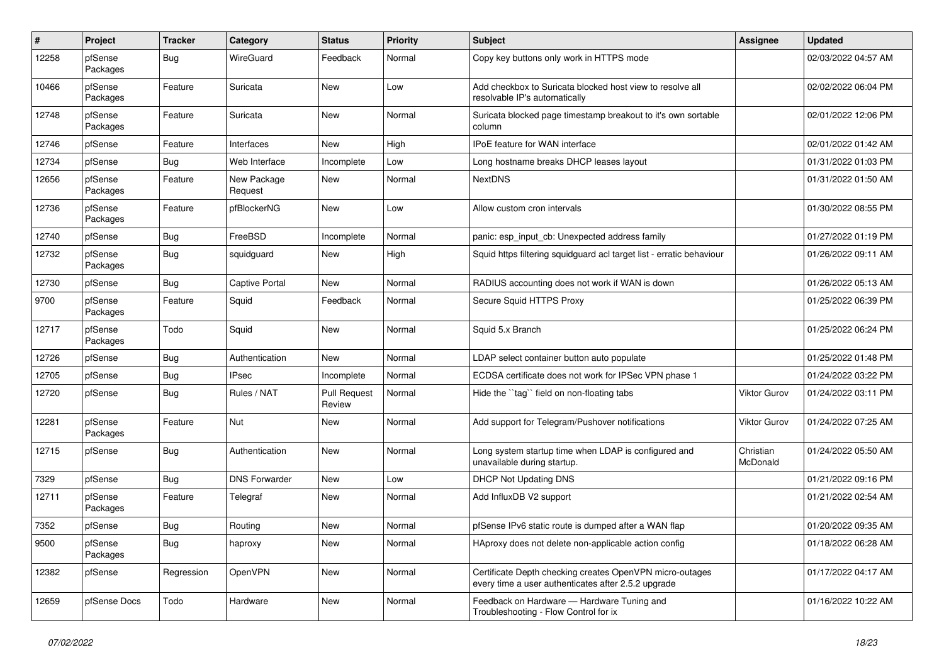| $\pmb{\#}$ | Project             | <b>Tracker</b> | Category               | <b>Status</b>                 | <b>Priority</b> | Subject                                                                                                         | <b>Assignee</b>       | <b>Updated</b>      |
|------------|---------------------|----------------|------------------------|-------------------------------|-----------------|-----------------------------------------------------------------------------------------------------------------|-----------------------|---------------------|
| 12258      | pfSense<br>Packages | Bug            | WireGuard              | Feedback                      | Normal          | Copy key buttons only work in HTTPS mode                                                                        |                       | 02/03/2022 04:57 AM |
| 10466      | pfSense<br>Packages | Feature        | Suricata               | <b>New</b>                    | Low             | Add checkbox to Suricata blocked host view to resolve all<br>resolvable IP's automatically                      |                       | 02/02/2022 06:04 PM |
| 12748      | pfSense<br>Packages | Feature        | Suricata               | <b>New</b>                    | Normal          | Suricata blocked page timestamp breakout to it's own sortable<br>column                                         |                       | 02/01/2022 12:06 PM |
| 12746      | pfSense             | Feature        | Interfaces             | <b>New</b>                    | High            | IPoE feature for WAN interface                                                                                  |                       | 02/01/2022 01:42 AM |
| 12734      | pfSense             | Bug            | Web Interface          | Incomplete                    | Low             | Long hostname breaks DHCP leases layout                                                                         |                       | 01/31/2022 01:03 PM |
| 12656      | pfSense<br>Packages | Feature        | New Package<br>Request | <b>New</b>                    | Normal          | <b>NextDNS</b>                                                                                                  |                       | 01/31/2022 01:50 AM |
| 12736      | pfSense<br>Packages | Feature        | pfBlockerNG            | <b>New</b>                    | Low             | Allow custom cron intervals                                                                                     |                       | 01/30/2022 08:55 PM |
| 12740      | pfSense             | Bug            | FreeBSD                | Incomplete                    | Normal          | panic: esp_input_cb: Unexpected address family                                                                  |                       | 01/27/2022 01:19 PM |
| 12732      | pfSense<br>Packages | <b>Bug</b>     | squidguard             | New                           | High            | Squid https filtering squidguard acl target list - erratic behaviour                                            |                       | 01/26/2022 09:11 AM |
| 12730      | pfSense             | <b>Bug</b>     | Captive Portal         | <b>New</b>                    | Normal          | RADIUS accounting does not work if WAN is down                                                                  |                       | 01/26/2022 05:13 AM |
| 9700       | pfSense<br>Packages | Feature        | Squid                  | Feedback                      | Normal          | Secure Squid HTTPS Proxy                                                                                        |                       | 01/25/2022 06:39 PM |
| 12717      | pfSense<br>Packages | Todo           | Squid                  | <b>New</b>                    | Normal          | Squid 5.x Branch                                                                                                |                       | 01/25/2022 06:24 PM |
| 12726      | pfSense             | <b>Bug</b>     | Authentication         | <b>New</b>                    | Normal          | LDAP select container button auto populate                                                                      |                       | 01/25/2022 01:48 PM |
| 12705      | pfSense             | Bug            | <b>IPsec</b>           | Incomplete                    | Normal          | ECDSA certificate does not work for IPSec VPN phase 1                                                           |                       | 01/24/2022 03:22 PM |
| 12720      | pfSense             | <b>Bug</b>     | Rules / NAT            | <b>Pull Request</b><br>Review | Normal          | Hide the "tag" field on non-floating tabs                                                                       | <b>Viktor Gurov</b>   | 01/24/2022 03:11 PM |
| 12281      | pfSense<br>Packages | Feature        | Nut                    | New                           | Normal          | Add support for Telegram/Pushover notifications                                                                 | <b>Viktor Gurov</b>   | 01/24/2022 07:25 AM |
| 12715      | pfSense             | Bug            | Authentication         | New                           | Normal          | Long system startup time when LDAP is configured and<br>unavailable during startup.                             | Christian<br>McDonald | 01/24/2022 05:50 AM |
| 7329       | pfSense             | Bug            | <b>DNS Forwarder</b>   | <b>New</b>                    | Low             | DHCP Not Updating DNS                                                                                           |                       | 01/21/2022 09:16 PM |
| 12711      | pfSense<br>Packages | Feature        | Telegraf               | New                           | Normal          | Add InfluxDB V2 support                                                                                         |                       | 01/21/2022 02:54 AM |
| 7352       | pfSense             | Bug            | Routing                | New                           | Normal          | pfSense IPv6 static route is dumped after a WAN flap                                                            |                       | 01/20/2022 09:35 AM |
| 9500       | pfSense<br>Packages | <b>Bug</b>     | haproxy                | New                           | Normal          | HAproxy does not delete non-applicable action config                                                            |                       | 01/18/2022 06:28 AM |
| 12382      | pfSense             | Regression     | OpenVPN                | New                           | Normal          | Certificate Depth checking creates OpenVPN micro-outages<br>every time a user authenticates after 2.5.2 upgrade |                       | 01/17/2022 04:17 AM |
| 12659      | pfSense Docs        | Todo           | Hardware               | New                           | Normal          | Feedback on Hardware - Hardware Tuning and<br>Troubleshooting - Flow Control for ix                             |                       | 01/16/2022 10:22 AM |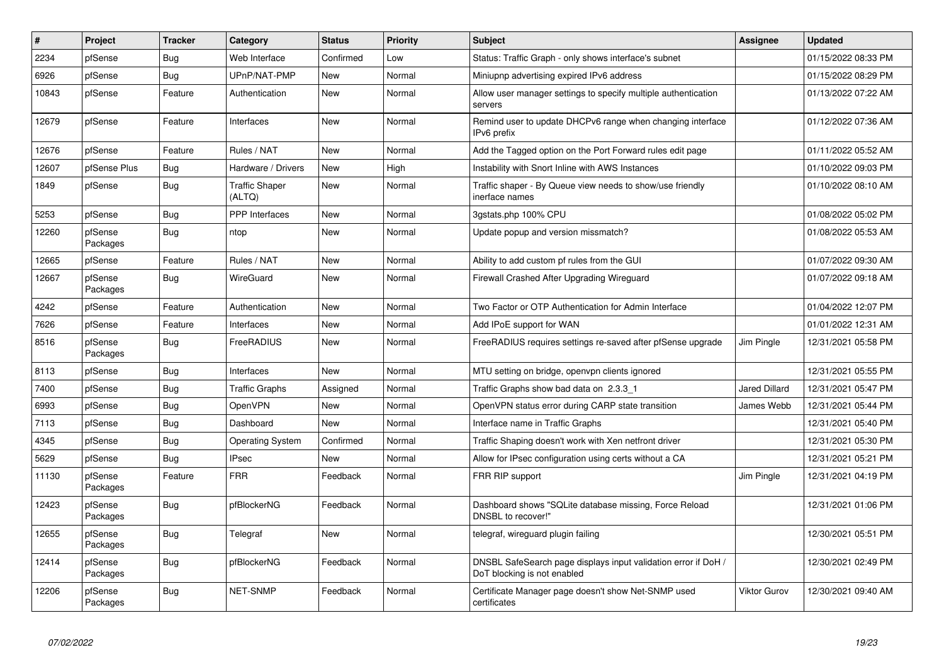| #     | Project             | <b>Tracker</b> | Category                        | <b>Status</b> | <b>Priority</b> | <b>Subject</b>                                                                                | <b>Assignee</b>     | <b>Updated</b>      |
|-------|---------------------|----------------|---------------------------------|---------------|-----------------|-----------------------------------------------------------------------------------------------|---------------------|---------------------|
| 2234  | pfSense             | Bug            | Web Interface                   | Confirmed     | Low             | Status: Traffic Graph - only shows interface's subnet                                         |                     | 01/15/2022 08:33 PM |
| 6926  | pfSense             | <b>Bug</b>     | UPnP/NAT-PMP                    | <b>New</b>    | Normal          | Miniupnp advertising expired IPv6 address                                                     |                     | 01/15/2022 08:29 PM |
| 10843 | pfSense             | Feature        | Authentication                  | <b>New</b>    | Normal          | Allow user manager settings to specify multiple authentication<br>servers                     |                     | 01/13/2022 07:22 AM |
| 12679 | pfSense             | Feature        | Interfaces                      | <b>New</b>    | Normal          | Remind user to update DHCPv6 range when changing interface<br>IPv6 prefix                     |                     | 01/12/2022 07:36 AM |
| 12676 | pfSense             | Feature        | Rules / NAT                     | <b>New</b>    | Normal          | Add the Tagged option on the Port Forward rules edit page                                     |                     | 01/11/2022 05:52 AM |
| 12607 | pfSense Plus        | <b>Bug</b>     | Hardware / Drivers              | <b>New</b>    | High            | Instability with Snort Inline with AWS Instances                                              |                     | 01/10/2022 09:03 PM |
| 1849  | pfSense             | <b>Bug</b>     | <b>Traffic Shaper</b><br>(ALTQ) | <b>New</b>    | Normal          | Traffic shaper - By Queue view needs to show/use friendly<br>inerface names                   |                     | 01/10/2022 08:10 AM |
| 5253  | pfSense             | Bug            | <b>PPP</b> Interfaces           | <b>New</b>    | Normal          | 3gstats.php 100% CPU                                                                          |                     | 01/08/2022 05:02 PM |
| 12260 | pfSense<br>Packages | Bug            | ntop                            | <b>New</b>    | Normal          | Update popup and version missmatch?                                                           |                     | 01/08/2022 05:53 AM |
| 12665 | pfSense             | Feature        | Rules / NAT                     | <b>New</b>    | Normal          | Ability to add custom pf rules from the GUI                                                   |                     | 01/07/2022 09:30 AM |
| 12667 | pfSense<br>Packages | <b>Bug</b>     | WireGuard                       | New           | Normal          | Firewall Crashed After Upgrading Wireguard                                                    |                     | 01/07/2022 09:18 AM |
| 4242  | pfSense             | Feature        | Authentication                  | <b>New</b>    | Normal          | Two Factor or OTP Authentication for Admin Interface                                          |                     | 01/04/2022 12:07 PM |
| 7626  | pfSense             | Feature        | Interfaces                      | <b>New</b>    | Normal          | Add IPoE support for WAN                                                                      |                     | 01/01/2022 12:31 AM |
| 8516  | pfSense<br>Packages | Bug            | <b>FreeRADIUS</b>               | New           | Normal          | FreeRADIUS requires settings re-saved after pfSense upgrade                                   | Jim Pingle          | 12/31/2021 05:58 PM |
| 8113  | pfSense             | <b>Bug</b>     | Interfaces                      | <b>New</b>    | Normal          | MTU setting on bridge, openvpn clients ignored                                                |                     | 12/31/2021 05:55 PM |
| 7400  | pfSense             | <b>Bug</b>     | Traffic Graphs                  | Assigned      | Normal          | Traffic Graphs show bad data on 2.3.3 1                                                       | Jared Dillard       | 12/31/2021 05:47 PM |
| 6993  | pfSense             | <b>Bug</b>     | <b>OpenVPN</b>                  | <b>New</b>    | Normal          | OpenVPN status error during CARP state transition                                             | James Webb          | 12/31/2021 05:44 PM |
| 7113  | pfSense             | <b>Bug</b>     | Dashboard                       | <b>New</b>    | Normal          | Interface name in Traffic Graphs                                                              |                     | 12/31/2021 05:40 PM |
| 4345  | pfSense             | <b>Bug</b>     | <b>Operating System</b>         | Confirmed     | Normal          | Traffic Shaping doesn't work with Xen netfront driver                                         |                     | 12/31/2021 05:30 PM |
| 5629  | pfSense             | Bug            | <b>IPsec</b>                    | <b>New</b>    | Normal          | Allow for IPsec configuration using certs without a CA                                        |                     | 12/31/2021 05:21 PM |
| 11130 | pfSense<br>Packages | Feature        | <b>FRR</b>                      | Feedback      | Normal          | FRR RIP support                                                                               | Jim Pingle          | 12/31/2021 04:19 PM |
| 12423 | pfSense<br>Packages | <b>Bug</b>     | pfBlockerNG                     | Feedback      | Normal          | Dashboard shows "SQLite database missing, Force Reload<br>DNSBL to recover!"                  |                     | 12/31/2021 01:06 PM |
| 12655 | pfSense<br>Packages | Bug            | Telegraf                        | <b>New</b>    | Normal          | telegraf, wireguard plugin failing                                                            |                     | 12/30/2021 05:51 PM |
| 12414 | pfSense<br>Packages | Bug            | pfBlockerNG                     | Feedback      | Normal          | DNSBL SafeSearch page displays input validation error if DoH /<br>DoT blocking is not enabled |                     | 12/30/2021 02:49 PM |
| 12206 | pfSense<br>Packages | <b>Bug</b>     | <b>NET-SNMP</b>                 | Feedback      | Normal          | Certificate Manager page doesn't show Net-SNMP used<br>certificates                           | <b>Viktor Gurov</b> | 12/30/2021 09:40 AM |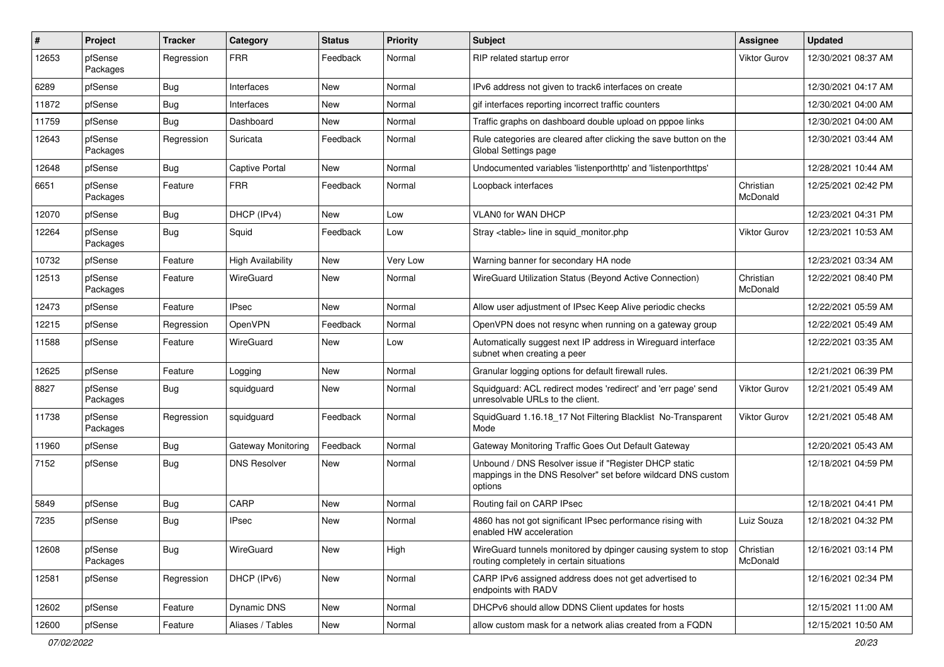| ∦     | Project             | <b>Tracker</b> | Category              | <b>Status</b> | <b>Priority</b> | Subject                                                                                                                          | Assignee              | <b>Updated</b>      |
|-------|---------------------|----------------|-----------------------|---------------|-----------------|----------------------------------------------------------------------------------------------------------------------------------|-----------------------|---------------------|
| 12653 | pfSense<br>Packages | Regression     | <b>FRR</b>            | Feedback      | Normal          | RIP related startup error                                                                                                        | Viktor Gurov          | 12/30/2021 08:37 AM |
| 6289  | pfSense             | Bug            | Interfaces            | New           | Normal          | IPv6 address not given to track6 interfaces on create                                                                            |                       | 12/30/2021 04:17 AM |
| 11872 | pfSense             | Bug            | Interfaces            | New           | Normal          | gif interfaces reporting incorrect traffic counters                                                                              |                       | 12/30/2021 04:00 AM |
| 11759 | pfSense             | Bug            | Dashboard             | New           | Normal          | Traffic graphs on dashboard double upload on pppoe links                                                                         |                       | 12/30/2021 04:00 AM |
| 12643 | pfSense<br>Packages | Regression     | Suricata              | Feedback      | Normal          | Rule categories are cleared after clicking the save button on the<br>Global Settings page                                        |                       | 12/30/2021 03:44 AM |
| 12648 | pfSense             | Bug            | <b>Captive Portal</b> | New           | Normal          | Undocumented variables 'listenporthttp' and 'listenporthttps'                                                                    |                       | 12/28/2021 10:44 AM |
| 6651  | pfSense<br>Packages | Feature        | <b>FRR</b>            | Feedback      | Normal          | Loopback interfaces                                                                                                              | Christian<br>McDonald | 12/25/2021 02:42 PM |
| 12070 | pfSense             | Bug            | DHCP (IPv4)           | New           | Low             | <b>VLAN0 for WAN DHCP</b>                                                                                                        |                       | 12/23/2021 04:31 PM |
| 12264 | pfSense<br>Packages | <b>Bug</b>     | Squid                 | Feedback      | Low             | Stray <table> line in squid monitor.php</table>                                                                                  | Viktor Gurov          | 12/23/2021 10:53 AM |
| 10732 | pfSense             | Feature        | High Availability     | <b>New</b>    | Very Low        | Warning banner for secondary HA node                                                                                             |                       | 12/23/2021 03:34 AM |
| 12513 | pfSense<br>Packages | Feature        | WireGuard             | New           | Normal          | WireGuard Utilization Status (Beyond Active Connection)                                                                          | Christian<br>McDonald | 12/22/2021 08:40 PM |
| 12473 | pfSense             | Feature        | <b>IPsec</b>          | New           | Normal          | Allow user adjustment of IPsec Keep Alive periodic checks                                                                        |                       | 12/22/2021 05:59 AM |
| 12215 | pfSense             | Regression     | OpenVPN               | Feedback      | Normal          | OpenVPN does not resync when running on a gateway group                                                                          |                       | 12/22/2021 05:49 AM |
| 11588 | pfSense             | Feature        | WireGuard             | New           | Low             | Automatically suggest next IP address in Wireguard interface<br>subnet when creating a peer                                      |                       | 12/22/2021 03:35 AM |
| 12625 | pfSense             | Feature        | Logging               | New           | Normal          | Granular logging options for default firewall rules.                                                                             |                       | 12/21/2021 06:39 PM |
| 8827  | pfSense<br>Packages | Bug            | squidguard            | New           | Normal          | Squidguard: ACL redirect modes 'redirect' and 'err page' send<br>unresolvable URLs to the client.                                | Viktor Gurov          | 12/21/2021 05:49 AM |
| 11738 | pfSense<br>Packages | Regression     | squidguard            | Feedback      | Normal          | SquidGuard 1.16.18_17 Not Filtering Blacklist No-Transparent<br>Mode                                                             | Viktor Gurov          | 12/21/2021 05:48 AM |
| 11960 | pfSense             | Bug            | Gateway Monitoring    | Feedback      | Normal          | Gateway Monitoring Traffic Goes Out Default Gateway                                                                              |                       | 12/20/2021 05:43 AM |
| 7152  | pfSense             | Bug            | <b>DNS Resolver</b>   | New           | Normal          | Unbound / DNS Resolver issue if "Register DHCP static<br>mappings in the DNS Resolver" set before wildcard DNS custom<br>options |                       | 12/18/2021 04:59 PM |
| 5849  | pfSense             | Bug            | CARP                  | New           | Normal          | Routing fail on CARP IPsec                                                                                                       |                       | 12/18/2021 04:41 PM |
| 7235  | pfSense             | Bug            | <b>IPsec</b>          | New           | Normal          | 4860 has not got significant IPsec performance rising with<br>enabled HW acceleration                                            | Luiz Souza            | 12/18/2021 04:32 PM |
| 12608 | pfSense<br>Packages | <b>Bug</b>     | WireGuard             | New           | High            | WireGuard tunnels monitored by dpinger causing system to stop<br>routing completely in certain situations                        | Christian<br>McDonald | 12/16/2021 03:14 PM |
| 12581 | pfSense             | Regression     | DHCP (IPv6)           | New           | Normal          | CARP IPv6 assigned address does not get advertised to<br>endpoints with RADV                                                     |                       | 12/16/2021 02:34 PM |
| 12602 | pfSense             | Feature        | Dynamic DNS           | New           | Normal          | DHCPv6 should allow DDNS Client updates for hosts                                                                                |                       | 12/15/2021 11:00 AM |
| 12600 | pfSense             | Feature        | Aliases / Tables      | New           | Normal          | allow custom mask for a network alias created from a FQDN                                                                        |                       | 12/15/2021 10:50 AM |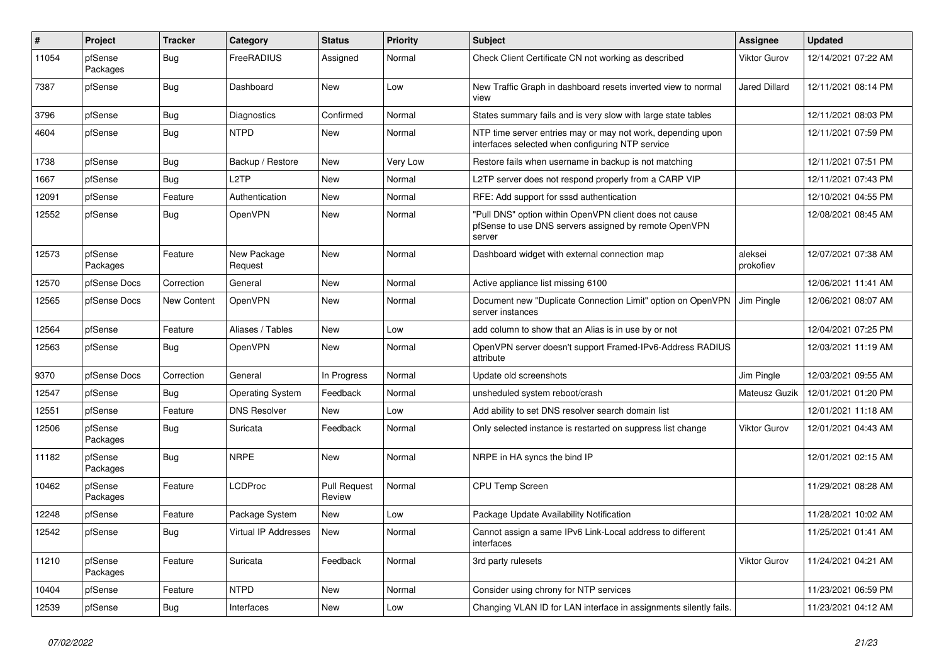| $\vert$ # | Project             | <b>Tracker</b>     | Category                | <b>Status</b>                 | <b>Priority</b> | <b>Subject</b>                                                                                                            | <b>Assignee</b>      | <b>Updated</b>      |
|-----------|---------------------|--------------------|-------------------------|-------------------------------|-----------------|---------------------------------------------------------------------------------------------------------------------------|----------------------|---------------------|
| 11054     | pfSense<br>Packages | Bug                | FreeRADIUS              | Assigned                      | Normal          | Check Client Certificate CN not working as described                                                                      | <b>Viktor Gurov</b>  | 12/14/2021 07:22 AM |
| 7387      | pfSense             | Bug                | Dashboard               | New                           | Low             | New Traffic Graph in dashboard resets inverted view to normal<br>view                                                     | <b>Jared Dillard</b> | 12/11/2021 08:14 PM |
| 3796      | pfSense             | Bug                | Diagnostics             | Confirmed                     | Normal          | States summary fails and is very slow with large state tables                                                             |                      | 12/11/2021 08:03 PM |
| 4604      | pfSense             | <b>Bug</b>         | <b>NTPD</b>             | <b>New</b>                    | Normal          | NTP time server entries may or may not work, depending upon<br>interfaces selected when configuring NTP service           |                      | 12/11/2021 07:59 PM |
| 1738      | pfSense             | Bug                | Backup / Restore        | <b>New</b>                    | Very Low        | Restore fails when username in backup is not matching                                                                     |                      | 12/11/2021 07:51 PM |
| 1667      | pfSense             | Bug                | L <sub>2</sub> TP       | <b>New</b>                    | Normal          | L2TP server does not respond properly from a CARP VIP                                                                     |                      | 12/11/2021 07:43 PM |
| 12091     | pfSense             | Feature            | Authentication          | New                           | Normal          | RFE: Add support for sssd authentication                                                                                  |                      | 12/10/2021 04:55 PM |
| 12552     | pfSense             | <b>Bug</b>         | <b>OpenVPN</b>          | New                           | Normal          | "Pull DNS" option within OpenVPN client does not cause<br>pfSense to use DNS servers assigned by remote OpenVPN<br>server |                      | 12/08/2021 08:45 AM |
| 12573     | pfSense<br>Packages | Feature            | New Package<br>Request  | <b>New</b>                    | Normal          | Dashboard widget with external connection map                                                                             | aleksei<br>prokofiev | 12/07/2021 07:38 AM |
| 12570     | pfSense Docs        | Correction         | General                 | <b>New</b>                    | Normal          | Active appliance list missing 6100                                                                                        |                      | 12/06/2021 11:41 AM |
| 12565     | pfSense Docs        | <b>New Content</b> | OpenVPN                 | <b>New</b>                    | Normal          | Document new "Duplicate Connection Limit" option on OpenVPN<br>server instances                                           | Jim Pingle           | 12/06/2021 08:07 AM |
| 12564     | pfSense             | Feature            | Aliases / Tables        | New                           | Low             | add column to show that an Alias is in use by or not                                                                      |                      | 12/04/2021 07:25 PM |
| 12563     | pfSense             | <b>Bug</b>         | <b>OpenVPN</b>          | New                           | Normal          | OpenVPN server doesn't support Framed-IPv6-Address RADIUS<br>attribute                                                    |                      | 12/03/2021 11:19 AM |
| 9370      | pfSense Docs        | Correction         | General                 | In Progress                   | Normal          | Update old screenshots                                                                                                    | Jim Pingle           | 12/03/2021 09:55 AM |
| 12547     | pfSense             | <b>Bug</b>         | <b>Operating System</b> | Feedback                      | Normal          | unsheduled system reboot/crash                                                                                            | Mateusz Guzik        | 12/01/2021 01:20 PM |
| 12551     | pfSense             | Feature            | <b>DNS Resolver</b>     | <b>New</b>                    | Low             | Add ability to set DNS resolver search domain list                                                                        |                      | 12/01/2021 11:18 AM |
| 12506     | pfSense<br>Packages | Bug                | Suricata                | Feedback                      | Normal          | Only selected instance is restarted on suppress list change                                                               | <b>Viktor Gurov</b>  | 12/01/2021 04:43 AM |
| 11182     | pfSense<br>Packages | Bug                | <b>NRPE</b>             | <b>New</b>                    | Normal          | NRPE in HA syncs the bind IP                                                                                              |                      | 12/01/2021 02:15 AM |
| 10462     | pfSense<br>Packages | Feature            | LCDProc                 | <b>Pull Request</b><br>Review | Normal          | <b>CPU Temp Screen</b>                                                                                                    |                      | 11/29/2021 08:28 AM |
| 12248     | pfSense             | Feature            | Package System          | <b>New</b>                    | Low             | Package Update Availability Notification                                                                                  |                      | 11/28/2021 10:02 AM |
| 12542     | pfSense             | Bug                | Virtual IP Addresses    | New                           | Normal          | Cannot assign a same IPv6 Link-Local address to different<br>interfaces                                                   |                      | 11/25/2021 01:41 AM |
| 11210     | pfSense<br>Packages | Feature            | Suricata                | Feedback                      | Normal          | 3rd party rulesets                                                                                                        | <b>Viktor Gurov</b>  | 11/24/2021 04:21 AM |
| 10404     | pfSense             | Feature            | <b>NTPD</b>             | New                           | Normal          | Consider using chrony for NTP services                                                                                    |                      | 11/23/2021 06:59 PM |
| 12539     | pfSense             | <b>Bug</b>         | Interfaces              | New                           | Low             | Changing VLAN ID for LAN interface in assignments silently fails.                                                         |                      | 11/23/2021 04:12 AM |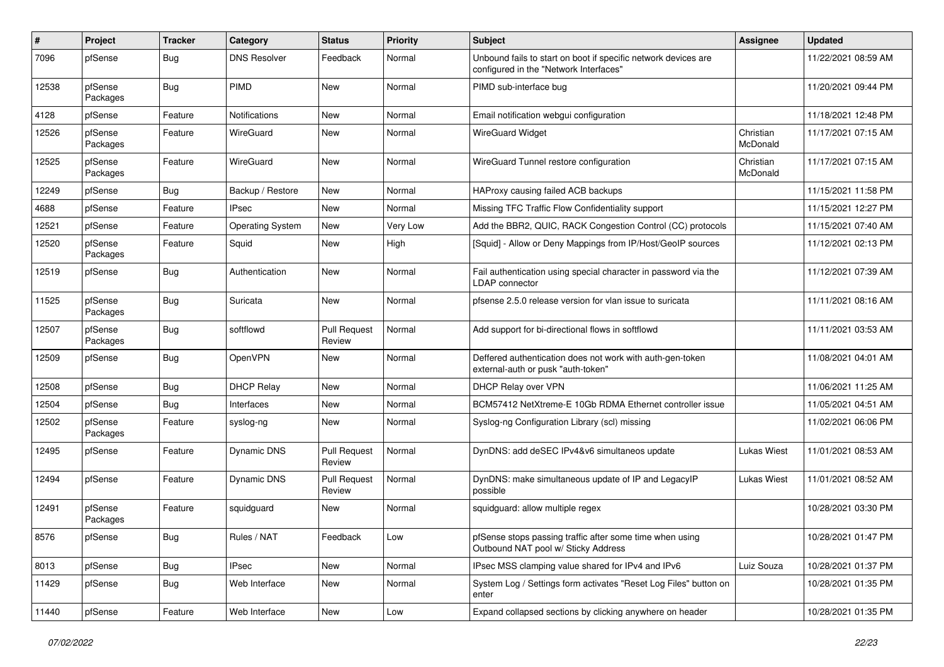| $\pmb{\#}$ | Project             | Tracker    | Category                | <b>Status</b>                 | Priority | Subject                                                                                                  | <b>Assignee</b>       | <b>Updated</b>      |
|------------|---------------------|------------|-------------------------|-------------------------------|----------|----------------------------------------------------------------------------------------------------------|-----------------------|---------------------|
| 7096       | pfSense             | Bug        | <b>DNS Resolver</b>     | Feedback                      | Normal   | Unbound fails to start on boot if specific network devices are<br>configured in the "Network Interfaces" |                       | 11/22/2021 08:59 AM |
| 12538      | pfSense<br>Packages | Bug        | <b>PIMD</b>             | <b>New</b>                    | Normal   | PIMD sub-interface bug                                                                                   |                       | 11/20/2021 09:44 PM |
| 4128       | pfSense             | Feature    | Notifications           | <b>New</b>                    | Normal   | Email notification webgui configuration                                                                  |                       | 11/18/2021 12:48 PM |
| 12526      | pfSense<br>Packages | Feature    | WireGuard               | <b>New</b>                    | Normal   | <b>WireGuard Widget</b>                                                                                  | Christian<br>McDonald | 11/17/2021 07:15 AM |
| 12525      | pfSense<br>Packages | Feature    | WireGuard               | <b>New</b>                    | Normal   | WireGuard Tunnel restore configuration                                                                   | Christian<br>McDonald | 11/17/2021 07:15 AM |
| 12249      | pfSense             | Bug        | Backup / Restore        | New                           | Normal   | HAProxy causing failed ACB backups                                                                       |                       | 11/15/2021 11:58 PM |
| 4688       | pfSense             | Feature    | <b>IPsec</b>            | New                           | Normal   | Missing TFC Traffic Flow Confidentiality support                                                         |                       | 11/15/2021 12:27 PM |
| 12521      | pfSense             | Feature    | <b>Operating System</b> | New                           | Very Low | Add the BBR2, QUIC, RACK Congestion Control (CC) protocols                                               |                       | 11/15/2021 07:40 AM |
| 12520      | pfSense<br>Packages | Feature    | Squid                   | New                           | High     | [Squid] - Allow or Deny Mappings from IP/Host/GeoIP sources                                              |                       | 11/12/2021 02:13 PM |
| 12519      | pfSense             | Bug        | Authentication          | New                           | Normal   | Fail authentication using special character in password via the<br><b>LDAP</b> connector                 |                       | 11/12/2021 07:39 AM |
| 11525      | pfSense<br>Packages | Bug        | Suricata                | <b>New</b>                    | Normal   | pfsense 2.5.0 release version for vlan issue to suricata                                                 |                       | 11/11/2021 08:16 AM |
| 12507      | pfSense<br>Packages | Bug        | softflowd               | <b>Pull Request</b><br>Review | Normal   | Add support for bi-directional flows in softflowd                                                        |                       | 11/11/2021 03:53 AM |
| 12509      | pfSense             | Bug        | OpenVPN                 | New                           | Normal   | Deffered authentication does not work with auth-gen-token<br>external-auth or pusk "auth-token"          |                       | 11/08/2021 04:01 AM |
| 12508      | pfSense             | Bug        | <b>DHCP Relay</b>       | New                           | Normal   | DHCP Relay over VPN                                                                                      |                       | 11/06/2021 11:25 AM |
| 12504      | pfSense             | Bug        | Interfaces              | New                           | Normal   | BCM57412 NetXtreme-E 10Gb RDMA Ethernet controller issue                                                 |                       | 11/05/2021 04:51 AM |
| 12502      | pfSense<br>Packages | Feature    | syslog-ng               | <b>New</b>                    | Normal   | Syslog-ng Configuration Library (scl) missing                                                            |                       | 11/02/2021 06:06 PM |
| 12495      | pfSense             | Feature    | Dynamic DNS             | <b>Pull Request</b><br>Review | Normal   | DynDNS: add deSEC IPv4&v6 simultaneos update                                                             | <b>Lukas Wiest</b>    | 11/01/2021 08:53 AM |
| 12494      | pfSense             | Feature    | <b>Dynamic DNS</b>      | <b>Pull Request</b><br>Review | Normal   | DynDNS: make simultaneous update of IP and LegacyIP<br>possible                                          | Lukas Wiest           | 11/01/2021 08:52 AM |
| 12491      | pfSense<br>Packages | Feature    | squidguard              | <b>New</b>                    | Normal   | squidguard: allow multiple regex                                                                         |                       | 10/28/2021 03:30 PM |
| 8576       | pfSense             | Bug        | Rules / NAT             | Feedback                      | Low      | pfSense stops passing traffic after some time when using<br>Outbound NAT pool w/ Sticky Address          |                       | 10/28/2021 01:47 PM |
| 8013       | pfSense             | Bug        | <b>IPsec</b>            | New                           | Normal   | IPsec MSS clamping value shared for IPv4 and IPv6                                                        | Luiz Souza            | 10/28/2021 01:37 PM |
| 11429      | pfSense             | <b>Bug</b> | Web Interface           | New                           | Normal   | System Log / Settings form activates "Reset Log Files" button on<br>enter                                |                       | 10/28/2021 01:35 PM |
| 11440      | pfSense             | Feature    | Web Interface           | New                           | Low      | Expand collapsed sections by clicking anywhere on header                                                 |                       | 10/28/2021 01:35 PM |